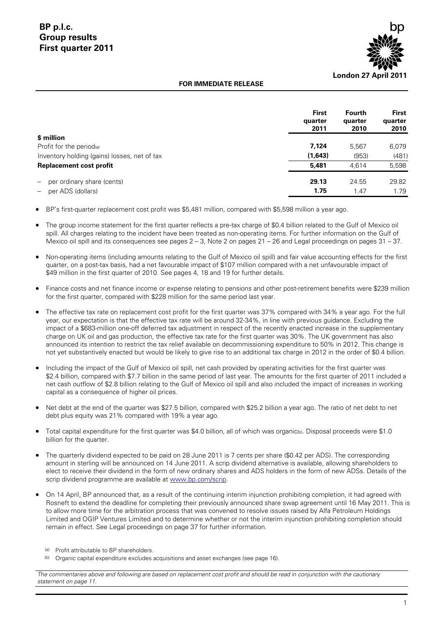

#### **FOR IMMEDIATE RELEASE**

|                                                               | <b>First</b><br>quarter<br>2011 | <b>Fourth</b><br>quarter<br>2010 | <b>First</b><br>quarter<br>2010 |
|---------------------------------------------------------------|---------------------------------|----------------------------------|---------------------------------|
| \$ million                                                    |                                 |                                  |                                 |
| Profit for the period(a)                                      | 7,124                           | 5.567                            | 6,079                           |
| Inventory holding (gains) losses, net of tax                  | (1,643)                         | (953)                            | (481)                           |
| <b>Replacement cost profit</b>                                | 5.481                           | 4.614                            | 5,598                           |
| per ordinary share (cents)<br>$\hspace{0.1mm}-\hspace{0.1mm}$ | 29.13                           | 24.55                            | 29.82                           |
| per ADS (dollars)<br>$\overline{\phantom{m}}$                 | 1.75                            | 1.47                             | 1.79                            |

BP's first-quarter replacement cost profit was \$5,481 million, compared with \$5,598 million a year ago.

 The group income statement for the first quarter reflects a pre-tax charge of \$0.4 billion related to the Gulf of Mexico oil spill. All charges relating to the incident have been treated as non-operating items. For further information on the Gulf of Mexico oil spill and its consequences see pages 2 – 3, Note 2 on pages 21 – 26 and Legal proceedings on pages 31 – 37.

 Non-operating items (including amounts relating to the Gulf of Mexico oil spill) and fair value accounting effects for the first quarter, on a post-tax basis, had a net favourable impact of \$107 million compared with a net unfavourable impact of \$49 million in the first quarter of 2010. See pages 4, 18 and 19 for further details.

 Finance costs and net finance income or expense relating to pensions and other post-retirement benefits were \$239 million for the first quarter, compared with \$228 million for the same period last year.

- The effective tax rate on replacement cost profit for the first quarter was 37% compared with 34% a year ago. For the full year, our expectation is that the effective tax rate will be around 32-34%, in line with previous guidance. Excluding the impact of a \$683-million one-off deferred tax adjustment in respect of the recently enacted increase in the supplementary charge on UK oil and gas production, the effective tax rate for the first quarter was 30%. The UK government has also announced its intention to restrict the tax relief available on decommissioning expenditure to 50% in 2012. This change is not yet substantively enacted but would be likely to give rise to an additional tax charge in 2012 in the order of \$0.4 billion.
- Including the impact of the Gulf of Mexico oil spill, net cash provided by operating activities for the first quarter was \$2.4 billion, compared with \$7.7 billion in the same period of last year. The amounts for the first quarter of 2011 included a net cash outflow of \$2.8 billion relating to the Gulf of Mexico oil spill and also included the impact of increases in working capital as a consequence of higher oil prices.
- Net debt at the end of the quarter was \$27.5 billion, compared with \$25.2 billion a year ago. The ratio of net debt to net debt plus equity was 21% compared with 19% a year ago.
- Total capital expenditure for the first quarter was \$4.0 billion, all of which was organic(b). Disposal proceeds were \$1.0 billion for the quarter.
- The quarterly dividend expected to be paid on 28 June 2011 is 7 cents per share (\$0.42 per ADS). The corresponding amount in sterling will be announced on 14 June 2011. A scrip dividend alternative is available, allowing shareholders to elect to receive their dividend in the form of new ordinary shares and ADS holders in the form of new ADSs. Details of the scrip dividend programme are available at [www.bp.com/scrip.](http://www.bp.com/scrip)
- On 14 April, BP announced that, as a result of the continuing interim injunction prohibiting completion, it had agreed with Rosneft to extend the deadline for completing their previously announced share swap agreement until 16 May 2011. This is to allow more time for the arbitration process that was convened to resolve issues raised by Alfa Petroleum Holdings Limited and OGIP Ventures Limited and to determine whether or not the interim injunction prohibiting completion should remain in effect. See Legal proceedings on page 37 for further information.
	- (a) Profit attributable to BP shareholders.
	- (b) Organic capital expenditure excludes acquisitions and asset exchanges (see page 16).

*The commentaries above and following are based on replacement cost profit and should be read in conjunction with the cautionary statement on page 11.*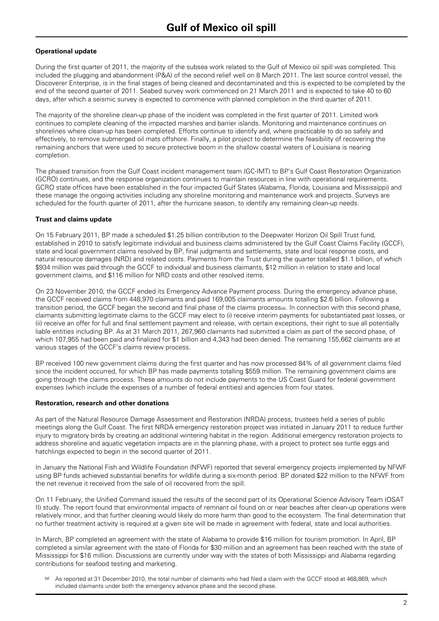#### **Operational update**

During the first quarter of 2011, the majority of the subsea work related to the Gulf of Mexico oil spill was completed. This included the plugging and abandonment (P&A) of the second relief well on 8 March 2011. The last source control vessel, the Discoverer Enterprise, is in the final stages of being cleaned and decontaminated and this is expected to be completed by the end of the second quarter of 2011. Seabed survey work commenced on 21 March 2011 and is expected to take 40 to 60 days, after which a seismic survey is expected to commence with planned completion in the third quarter of 2011.

The majority of the shoreline clean-up phase of the incident was completed in the first quarter of 2011. Limited work continues to complete cleaning of the impacted marshes and barrier islands. Monitoring and maintenance continues on shorelines where clean-up has been completed. Efforts continue to identify and, where practicable to do so safely and effectively, to remove submerged oil mats offshore. Finally, a pilot project to determine the feasibility of recovering the remaining anchors that were used to secure protective boom in the shallow coastal waters of Louisiana is nearing completion.

The phased transition from the Gulf Coast incident management team (GC-IMT) to BP's Gulf Coast Restoration Organization (GCRO) continues, and the response organization continues to maintain resources in line with operational requirements. GCRO state offices have been established in the four impacted Gulf States (Alabama, Florida, Louisiana and Mississippi) and these manage the ongoing activities including any shoreline monitoring and maintenance work and projects. Surveys are scheduled for the fourth quarter of 2011, after the hurricane season, to identify any remaining clean-up needs.

#### **Trust and claims update**

On 15 February 2011, BP made a scheduled \$1.25 billion contribution to the Deepwater Horizon Oil Spill Trust fund, established in 2010 to satisfy legitimate individual and business claims administered by the Gulf Coast Claims Facility (GCCF), state and local government claims resolved by BP, final judgments and settlements, state and local response costs, and natural resource damages (NRD) and related costs. Payments from the Trust during the quarter totalled \$1.1 billion, of which \$934 million was paid through the GCCF to individual and business claimants, \$12 million in relation to state and local government claims, and \$116 million for NRD costs and other resolved items.

On 23 November 2010, the GCCF ended its Emergency Advance Payment process. During the emergency advance phase, the GCCF received claims from 448,970 claimants and paid 169,005 claimants amounts totalling \$2.6 billion. Following a transition period, the GCCF began the second and final phase of the claims process(a). In connection with this second phase, claimants submitting legitimate claims to the GCCF may elect to (i) receive interim payments for substantiated past losses, or (ii) receive an offer for full and final settlement payment and release, with certain exceptions, their right to sue all potentially liable entities including BP. As at 31 March 2011, 267,960 claimants had submitted a claim as part of the second phase, of which 107,955 had been paid and finalized for \$1 billion and 4,343 had been denied. The remaining 155,662 claimants are at various stages of the GCCF's claims review process.

BP received 100 new government claims during the first quarter and has now processed 84% of all government claims filed since the incident occurred, for which BP has made payments totalling \$559 million. The remaining government claims are going through the claims process. These amounts do not include payments to the US Coast Guard for federal government expenses (which include the expenses of a number of federal entities) and agencies from four states.

#### **Restoration, research and other donations**

As part of the Natural Resource Damage Assessment and Restoration (NRDA) process, trustees held a series of public meetings along the Gulf Coast. The first NRDA emergency restoration project was initiated in January 2011 to reduce further injury to migratory birds by creating an additional wintering habitat in the region. Additional emergency restoration projects to address shoreline and aquatic vegetation impacts are in the planning phase, with a project to protect sea turtle eggs and hatchlings expected to begin in the second quarter of 2011.

In January the National Fish and Wildlife Foundation (NFWF) reported that several emergency projects implemented by NFWF using BP funds achieved substantial benefits for wildlife during a six-month period. BP donated \$22 million to the NFWF from the net revenue it received from the sale of oil recovered from the spill.

On 11 February, the Unified Command issued the results of the second part of its Operational Science Advisory Team (OSAT II) study. The report found that environmental impacts of remnant oil found on or near beaches after clean-up operations were relatively minor, and that further cleaning would likely do more harm than good to the ecosystem. The final determination that no further treatment activity is required at a given site will be made in agreement with federal, state and local authorities.

In March, BP completed an agreement with the state of Alabama to provide \$16 million for tourism promotion. In April, BP completed a similar agreement with the state of Florida for \$30 million and an agreement has been reached with the state of Mississippi for \$16 million. Discussions are currently under way with the states of both Mississippi and Alabama regarding contributions for seafood testing and marketing.

As reported at 31 December 2010, the total number of claimants who had filed a claim with the GCCF stood at 468,869, which included claimants under both the emergency advance phase and the second phase.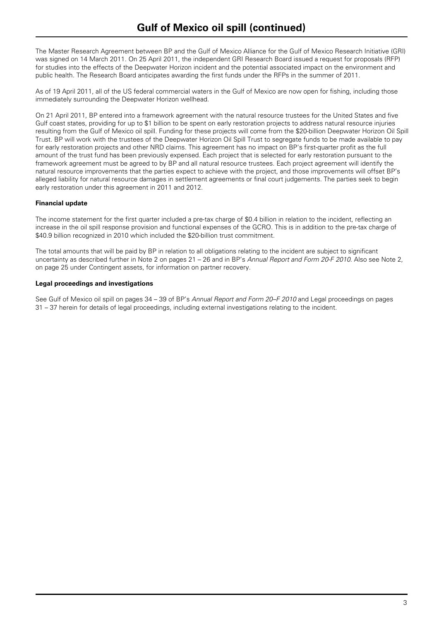The Master Research Agreement between BP and the Gulf of Mexico Alliance for the Gulf of Mexico Research Initiative (GRI) was signed on 14 March 2011. On 25 April 2011, the independent GRI Research Board issued a request for proposals (RFP) for studies into the effects of the Deepwater Horizon incident and the potential associated impact on the environment and public health. The Research Board anticipates awarding the first funds under the RFPs in the summer of 2011.

As of 19 April 2011, all of the US federal commercial waters in the Gulf of Mexico are now open for fishing, including those immediately surrounding the Deepwater Horizon wellhead.

On 21 April 2011, BP entered into a framework agreement with the natural resource trustees for the United States and five Gulf coast states, providing for up to \$1 billion to be spent on early restoration projects to address natural resource injuries resulting from the Gulf of Mexico oil spill. Funding for these projects will come from the \$20-billion Deepwater Horizon Oil Spill Trust. BP will work with the trustees of the Deepwater Horizon Oil Spill Trust to segregate funds to be made available to pay for early restoration projects and other NRD claims. This agreement has no impact on BP's first-quarter profit as the full amount of the trust fund has been previously expensed. Each project that is selected for early restoration pursuant to the framework agreement must be agreed to by BP and all natural resource trustees. Each project agreement will identify the natural resource improvements that the parties expect to achieve with the project, and those improvements will offset BP's alleged liability for natural resource damages in settlement agreements or final court judgements. The parties seek to begin early restoration under this agreement in 2011 and 2012.

#### **Financial update**

The income statement for the first quarter included a pre-tax charge of \$0.4 billion in relation to the incident, reflecting an increase in the oil spill response provision and functional expenses of the GCRO. This is in addition to the pre-tax charge of \$40.9 billion recognized in 2010 which included the \$20-billion trust commitment.

The total amounts that will be paid by BP in relation to all obligations relating to the incident are subject to significant uncertainty as described further in Note 2 on pages 21 – 26 and in BP's *Annual Report and Form 20-F 2010*. Also see Note 2, on page 25 under Contingent assets, for information on partner recovery.

#### **Legal proceedings and investigations**

See Gulf of Mexico oil spill on pages 34 – 39 of BP's *Annual Report and Form 20–F 2010* and Legal proceedings on pages 31 – 37 herein for details of legal proceedings, including external investigations relating to the incident.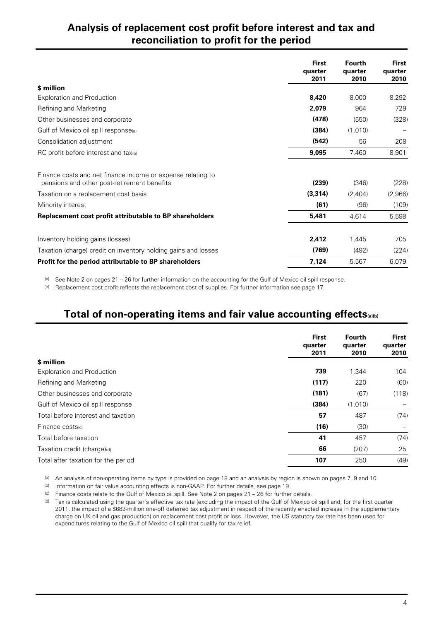## **Analysis of replacement cost profit before interest and tax and reconciliation to profit for the period**

|                                                                                                            | <b>First</b><br>quarter<br>2011 | <b>Fourth</b><br>quarter<br>2010 | First<br>quarter<br>2010 |
|------------------------------------------------------------------------------------------------------------|---------------------------------|----------------------------------|--------------------------|
| \$ million                                                                                                 |                                 |                                  |                          |
| <b>Exploration and Production</b>                                                                          | 8,420                           | 8,000                            | 8,292                    |
| Refining and Marketing                                                                                     | 2,079                           | 964                              | 729                      |
| Other businesses and corporate                                                                             | (478)                           | (550)                            | (328)                    |
| Gulf of Mexico oil spill response(a)                                                                       | (384)                           | (1,010)                          |                          |
| Consolidation adjustment                                                                                   | (542)                           | 56                               | 208                      |
| RC profit before interest and tax(b)                                                                       | 9,095                           | 7,460                            | 8,901                    |
| Finance costs and net finance income or expense relating to<br>pensions and other post-retirement benefits | (239)                           | (346)                            | (228)                    |
| Taxation on a replacement cost basis                                                                       | (3, 314)                        | (2,404)                          | (2,966)                  |
| Minority interest                                                                                          | (61)                            | (96)                             | (109)                    |
| Replacement cost profit attributable to BP shareholders                                                    | 5,481                           | 4,614                            | 5,598                    |
| Inventory holding gains (losses)                                                                           | 2,412                           | 1,445                            | 705                      |
| Taxation (charge) credit on inventory holding gains and losses                                             | (769)                           | (492)                            | (224)                    |
| Profit for the period attributable to BP shareholders                                                      | 7,124                           | 5,567                            | 6,079                    |

(a) See Note 2 on pages  $21 - 26$  for further information on the accounting for the Gulf of Mexico oil spill response.

(b) Replacement cost profit reflects the replacement cost of supplies. For further information see page 17.

## **Total of non-operating items and fair value accounting effects(a)(b)**

|                                     | <b>First</b><br>quarter<br>2011 | <b>Fourth</b><br>quarter<br>2010 | <b>First</b><br>quarter<br>2010 |
|-------------------------------------|---------------------------------|----------------------------------|---------------------------------|
| \$ million                          |                                 |                                  |                                 |
| <b>Exploration and Production</b>   | 739                             | 1,344                            | 104                             |
| Refining and Marketing              | (117)                           | 220                              | (60)                            |
| Other businesses and corporate      | (181)                           | (67)                             | (118)                           |
| Gulf of Mexico oil spill response   | (384)                           | (1,010)                          |                                 |
| Total before interest and taxation  | 57                              | 487                              | (74)                            |
| Finance costs(c)                    | (16)                            | (30)                             |                                 |
| Total before taxation               | 41                              | 457                              | (74)                            |
| Taxation credit (charge)(d)         | 66                              | (207)                            | 25                              |
| Total after taxation for the period | 107                             | 250                              | (49)                            |

(a) An analysis of non-operating items by type is provided on page 18 and an analysis by region is shown on pages 7, 9 and 10.

(b) Information on fair value accounting effects is non-GAAP. For further details, see page 19.

(c) Finance costs relate to the Gulf of Mexico oil spill. See Note 2 on pages  $21 - 26$  for further details.

(d) Tax is calculated using the quarter's effective tax rate (excluding the impact of the Gulf of Mexico oil spill and, for the first quarter 2011, the impact of a \$683-million one-off deferred tax adjustment in respect of the recently enacted increase in the supplementary charge on UK oil and gas production) on replacement cost profit or loss. However, the US statutory tax rate has been used for expenditures relating to the Gulf of Mexico oil spill that qualify for tax relief.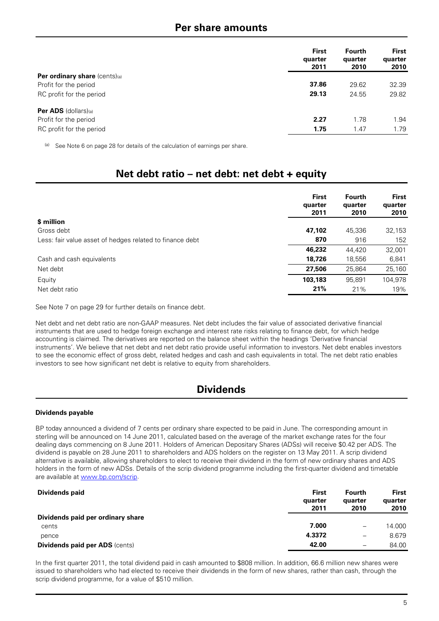### **Per share amounts**

|                                      | <b>First</b><br>quarter<br>2011 | <b>Fourth</b><br>quarter<br>2010 | <b>First</b><br>quarter<br>2010 |
|--------------------------------------|---------------------------------|----------------------------------|---------------------------------|
| <b>Per ordinary share</b> (cents)(a) |                                 |                                  |                                 |
| Profit for the period                | 37.86                           | 29.62                            | 32.39                           |
| RC profit for the period             | 29.13                           | 24.55                            | 29.82                           |
| <b>Per ADS</b> $(dollars)_{(a)}$     |                                 |                                  |                                 |
| Profit for the period                | 2.27                            | 1.78                             | 1.94                            |
| RC profit for the period             | 1.75                            | 1.47                             | 1.79                            |

(a) See Note 6 on page 28 for details of the calculation of earnings per share.

## **Net debt ratio – net debt: net debt + equity**

|                                                          | <b>First</b><br>quarter<br>2011 | <b>Fourth</b><br>quarter<br>2010 | <b>First</b><br>quarter<br>2010 |
|----------------------------------------------------------|---------------------------------|----------------------------------|---------------------------------|
| \$ million                                               |                                 |                                  |                                 |
| Gross debt                                               | 47,102                          | 45.336                           | 32,153                          |
| Less: fair value asset of hedges related to finance debt | 870                             | 916                              | 152                             |
|                                                          | 46,232                          | 44,420                           | 32,001                          |
| Cash and cash equivalents                                | 18,726                          | 18,556                           | 6,841                           |
| Net debt                                                 | 27,506                          | 25.864                           | 25,160                          |
| Equity                                                   | 103,183                         | 95,891                           | 104,978                         |
| Net debt ratio                                           | 21%                             | 21%                              | 19%                             |

See Note 7 on page 29 for further details on finance debt.

Net debt and net debt ratio are non-GAAP measures. Net debt includes the fair value of associated derivative financial instruments that are used to hedge foreign exchange and interest rate risks relating to finance debt, for which hedge accounting is claimed. The derivatives are reported on the balance sheet within the headings 'Derivative financial instruments'. We believe that net debt and net debt ratio provide useful information to investors. Net debt enables investors to see the economic effect of gross debt, related hedges and cash and cash equivalents in total. The net debt ratio enables investors to see how significant net debt is relative to equity from shareholders.

## **Dividends**

#### **Dividends payable**

BP today announced a dividend of 7 cents per ordinary share expected to be paid in June. The corresponding amount in sterling will be announced on 14 June 2011, calculated based on the average of the market exchange rates for the four dealing days commencing on 8 June 2011. Holders of American Depositary Shares (ADSs) will receive \$0.42 per ADS. The dividend is payable on 28 June 2011 to shareholders and ADS holders on the register on 13 May 2011. A scrip dividend alternative is available, allowing shareholders to elect to receive their dividend in the form of new ordinary shares and ADS holders in the form of new ADSs. Details of the scrip dividend programme including the first-quarter dividend and timetable are available at www.bp.com/scrip.

| Dividends paid                        | First<br>quarter<br>2011 | <b>Fourth</b><br>quarter<br>2010 | <b>First</b><br>quarter<br>2010 |
|---------------------------------------|--------------------------|----------------------------------|---------------------------------|
| Dividends paid per ordinary share     |                          |                                  |                                 |
| cents                                 | 7.000                    | $\qquad \qquad -$                | 14.000                          |
| pence                                 | 4.3372                   | $\qquad \qquad -$                | 8.679                           |
| <b>Dividends paid per ADS (cents)</b> | 42.00                    | $\qquad \qquad$                  | 84.00                           |

In the first quarter 2011, the total dividend paid in cash amounted to \$808 million. In addition, 66.6 million new shares were issued to shareholders who had elected to receive their dividends in the form of new shares, rather than cash, through the scrip dividend programme, for a value of \$510 million.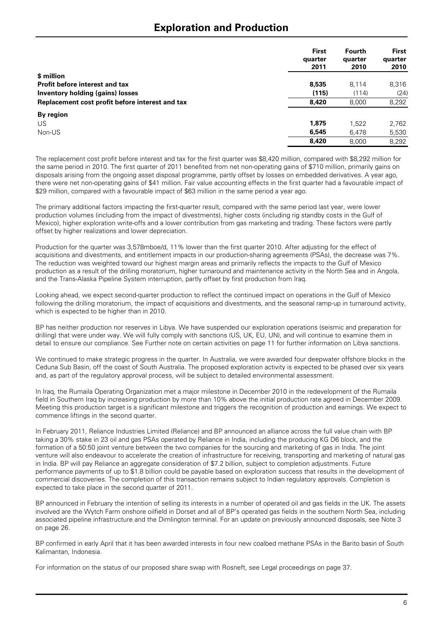### **Exploration and Production**

|                                                 | <b>First</b><br>quarter<br>2011 | Fourth<br>quarter<br>2010 | <b>First</b><br>quarter<br>2010 |
|-------------------------------------------------|---------------------------------|---------------------------|---------------------------------|
| \$ million                                      |                                 |                           |                                 |
| Profit before interest and tax                  | 8,535                           | 8.114                     | 8,316                           |
| <b>Inventory holding (gains) losses</b>         | (115)                           | (114)                     | (24)                            |
| Replacement cost profit before interest and tax | 8,420                           | 8.000                     | 8,292                           |
| By region                                       |                                 |                           |                                 |
| US                                              | 1.875                           | 1.522                     | 2,762                           |
| Non-US                                          | 6,545                           | 6.478                     | 5,530                           |
|                                                 | 8,420                           | 8.000                     | 8,292                           |

The replacement cost profit before interest and tax for the first quarter was \$8,420 million, compared with \$8,292 million for the same period in 2010. The first quarter of 2011 benefited from net non-operating gains of \$710 million, primarily gains on disposals arising from the ongoing asset disposal programme, partly offset by losses on embedded derivatives. A year ago, there were net non-operating gains of \$41 million. Fair value accounting effects in the first quarter had a favourable impact of \$29 million, compared with a favourable impact of \$63 million in the same period a year ago.

The primary additional factors impacting the first-quarter result, compared with the same period last year, were lower production volumes (including from the impact of divestments), higher costs (including rig standby costs in the Gulf of Mexico), higher exploration write-offs and a lower contribution from gas marketing and trading. These factors were partly offset by higher realizations and lower depreciation.

Production for the quarter was 3,578mboe/d, 11% lower than the first quarter 2010. After adjusting for the effect of acquisitions and divestments, and entitlement impacts in our production-sharing agreements (PSAs), the decrease was 7%. The reduction was weighted toward our highest margin areas and primarily reflects the impacts to the Gulf of Mexico production as a result of the drilling moratorium, higher turnaround and maintenance activity in the North Sea and in Angola, and the Trans-Alaska Pipeline System interruption, partly offset by first production from Iraq.

Looking ahead, we expect second-quarter production to reflect the continued impact on operations in the Gulf of Mexico following the drilling moratorium, the impact of acquisitions and divestments, and the seasonal ramp-up in turnaround activity, which is expected to be higher than in 2010.

BP has neither production nor reserves in Libya. We have suspended our exploration operations (seismic and preparation for drilling) that were under way. We will fully comply with sanctions (US, UK, EU, UN), and will continue to examine them in detail to ensure our compliance. See Further note on certain activities on page 11 for further information on Libya sanctions.

We continued to make strategic progress in the quarter. In Australia, we were awarded four deepwater offshore blocks in the Ceduna Sub Basin, off the coast of South Australia. The proposed exploration activity is expected to be phased over six years and, as part of the regulatory approval process, will be subject to detailed environmental assessment.

In Iraq, the Rumaila Operating Organization met a major milestone in December 2010 in the redevelopment of the Rumaila field in Southern Iraq by increasing production by more than 10% above the initial production rate agreed in December 2009. Meeting this production target is a significant milestone and triggers the recognition of production and earnings. We expect to commence liftings in the second quarter.

In February 2011, Reliance Industries Limited (Reliance) and BP announced an alliance across the full value chain with BP taking a 30% stake in 23 oil and gas PSAs operated by Reliance in India, including the producing KG D6 block, and the formation of a 50:50 joint venture between the two companies for the sourcing and marketing of gas in India. The joint venture will also endeavour to accelerate the creation of infrastructure for receiving, transporting and marketing of natural gas in India. BP will pay Reliance an aggregate consideration of \$7.2 billion, subject to completion adjustments. Future performance payments of up to \$1.8 billion could be payable based on exploration success that results in the development of commercial discoveries. The completion of this transaction remains subject to Indian regulatory approvals. Completion is expected to take place in the second quarter of 2011.

BP announced in February the intention of selling its interests in a number of operated oil and gas fields in the UK. The assets involved are the Wytch Farm onshore oilfield in Dorset and all of BP's operated gas fields in the southern North Sea, including associated pipeline infrastructure and the Dimlington terminal. For an update on previously announced disposals, see Note 3 on page 26.

BP confirmed in early April that it has been awarded interests in four new coalbed methane PSAs in the Barito basin of South Kalimantan, Indonesia.

For information on the status of our proposed share swap with Rosneft, see Legal proceedings on page 37.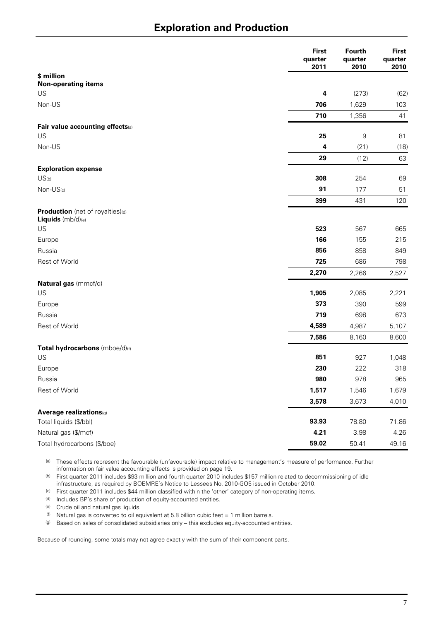## **Exploration and Production**

|                                  | <b>First</b><br>quarter<br>2011 | Fourth<br>quarter<br>2010 | <b>First</b><br>quarter<br>2010 |
|----------------------------------|---------------------------------|---------------------------|---------------------------------|
| \$ million                       |                                 |                           |                                 |
| <b>Non-operating items</b>       |                                 |                           |                                 |
| US                               | 4                               | (273)                     | (62)                            |
| Non-US                           | 706                             | 1,629                     | 103                             |
|                                  | 710                             | 1,356                     | 41                              |
| Fair value accounting effects(a) |                                 |                           |                                 |
| US                               | 25                              | $\boldsymbol{9}$          | 81                              |
| Non-US                           | 4                               | (21)                      | (18)                            |
|                                  | 29                              | (12)                      | 63                              |
| <b>Exploration expense</b>       |                                 |                           |                                 |
| US(b)                            | 308                             | 254                       | 69                              |
| Non-US(c)                        | 91                              | 177                       | 51                              |
|                                  | 399                             | 431                       | 120                             |
| Production (net of royalties)(d) |                                 |                           |                                 |
| Liquids (mb/d)(e)                |                                 |                           |                                 |
| US                               | 523                             | 567                       | 665                             |
| Europe                           | 166                             | 155                       | 215                             |
| Russia                           | 856                             | 858                       | 849                             |
| Rest of World                    | 725                             | 686                       | 798                             |
|                                  | 2,270                           | 2,266                     | 2,527                           |
| Natural gas (mmcf/d)             |                                 |                           |                                 |
| US                               | 1,905                           | 2,085                     | 2,221                           |
| Europe                           | 373                             | 390                       | 599                             |
| Russia                           | 719                             | 698                       | 673                             |
| Rest of World                    | 4,589                           | 4,987                     | 5,107                           |
|                                  | 7,586                           | 8,160                     | 8,600                           |
| Total hydrocarbons (mboe/d)(f)   |                                 |                           |                                 |
| US                               | 851                             | 927                       | 1,048                           |
| Europe                           | 230                             | 222                       | 318                             |
| Russia                           | 980                             | 978                       | 965                             |
| Rest of World                    | 1,517                           | 1,546                     | 1,679                           |
|                                  | 3,578                           | 3,673                     | 4,010                           |
| Average realizations(g)          |                                 |                           |                                 |
| Total liquids (\$/bbl)           | 93.93                           | 78.80                     | 71.86                           |
| Natural gas (\$/mcf)             | 4.21                            | 3.98                      | 4.26                            |
| Total hydrocarbons (\$/boe)      | 59.02                           | 50.41                     | 49.16                           |

(a) These effects represent the favourable (unfavourable) impact relative to management's measure of performance. Further information on fair value accounting effects is provided on page 19.

(b) First quarter 2011 includes \$93 million and fourth quarter 2010 includes \$157 million related to decommissioning of idle infrastructure, as required by BOEMRE's Notice to Lessees No. 2010-GO5 issued in October 2010.

(c) First quarter 2011 includes \$44 million classified within the 'other' category of non-operating items.

(d) Includes BP's share of production of equity-accounted entities.

(e) Crude oil and natural gas liquids.

(f) Natural gas is converted to oil equivalent at 5.8 billion cubic feet = 1 million barrels.

(g) Based on sales of consolidated subsidiaries only - this excludes equity-accounted entities.

Because of rounding, some totals may not agree exactly with the sum of their component parts.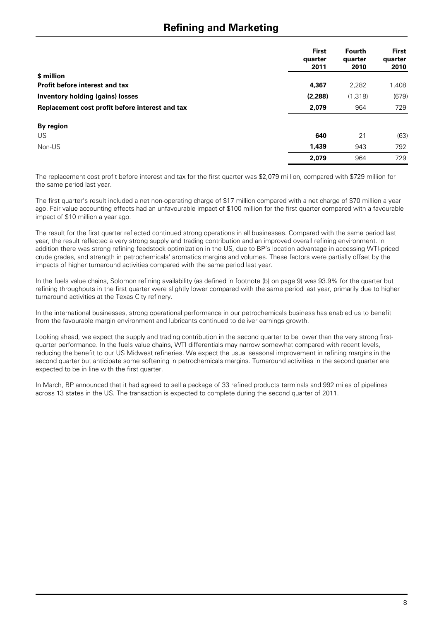## **Refining and Marketing**

|                                                 | <b>First</b><br>quarter<br>2011 | <b>Fourth</b><br>quarter<br>2010 | <b>First</b><br>quarter<br>2010 |
|-------------------------------------------------|---------------------------------|----------------------------------|---------------------------------|
| \$ million                                      |                                 |                                  |                                 |
| <b>Profit before interest and tax</b>           | 4,367                           | 2,282                            | 1,408                           |
| <b>Inventory holding (gains) losses</b>         | (2, 288)                        | (1, 318)                         | (679)                           |
| Replacement cost profit before interest and tax | 2,079                           | 964                              | 729                             |
| By region                                       |                                 |                                  |                                 |
| US                                              | 640                             | 21                               | (63)                            |
| Non-US                                          | 1,439                           | 943                              | 792                             |
|                                                 | 2,079                           | 964                              | 729                             |

The replacement cost profit before interest and tax for the first quarter was \$2,079 million, compared with \$729 million for the same period last year.

The first quarter's result included a net non-operating charge of \$17 million compared with a net charge of \$70 million a year ago. Fair value accounting effects had an unfavourable impact of \$100 million for the first quarter compared with a favourable impact of \$10 million a year ago.

The result for the first quarter reflected continued strong operations in all businesses. Compared with the same period last year, the result reflected a very strong supply and trading contribution and an improved overall refining environment. In addition there was strong refining feedstock optimization in the US, due to BP's location advantage in accessing WTI-priced crude grades, and strength in petrochemicals' aromatics margins and volumes. These factors were partially offset by the impacts of higher turnaround activities compared with the same period last year.

In the fuels value chains, Solomon refining availability (as defined in footnote (b) on page 9) was 93.9% for the quarter but refining throughputs in the first quarter were slightly lower compared with the same period last year, primarily due to higher turnaround activities at the Texas City refinery.

In the international businesses, strong operational performance in our petrochemicals business has enabled us to benefit from the favourable margin environment and lubricants continued to deliver earnings growth.

Looking ahead, we expect the supply and trading contribution in the second quarter to be lower than the very strong firstquarter performance. In the fuels value chains, WTI differentials may narrow somewhat compared with recent levels, reducing the benefit to our US Midwest refineries. We expect the usual seasonal improvement in refining margins in the second quarter but anticipate some softening in petrochemicals margins. Turnaround activities in the second quarter are expected to be in line with the first quarter.

In March, BP announced that it had agreed to sell a package of 33 refined products terminals and 992 miles of pipelines across 13 states in the US. The transaction is expected to complete during the second quarter of 2011.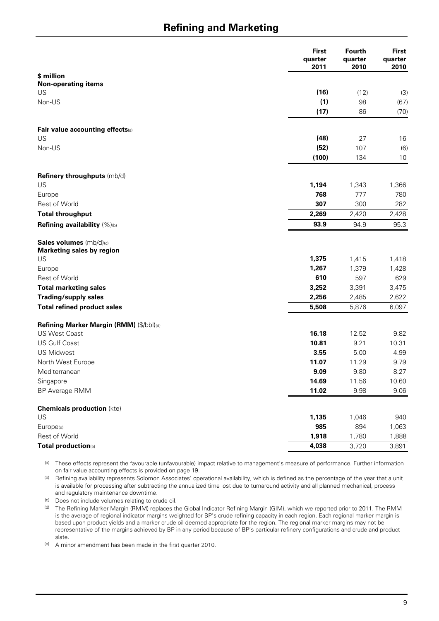## **Refining and Marketing**

|                                           | <b>First</b><br>quarter<br>2011 | <b>Fourth</b><br>quarter<br>2010 | <b>First</b><br>quarter<br>2010 |
|-------------------------------------------|---------------------------------|----------------------------------|---------------------------------|
| \$ million                                |                                 |                                  |                                 |
| <b>Non-operating items</b>                |                                 |                                  |                                 |
| US                                        | (16)                            | (12)                             | (3)                             |
| Non-US                                    | (1)                             | 98                               | (67)                            |
|                                           | (17)                            | 86                               | (70)                            |
| Fair value accounting effects(a)          |                                 |                                  |                                 |
| US                                        | (48)                            | 27                               | 16                              |
| Non-US                                    | (52)                            | 107                              | (6)                             |
|                                           | (100)                           | 134                              | 10                              |
| Refinery throughputs (mb/d)               |                                 |                                  |                                 |
| US                                        | 1,194                           | 1,343                            | 1,366                           |
| Europe                                    | 768                             | 777                              | 780                             |
| <b>Rest of World</b>                      | 307                             | 300                              | 282                             |
| <b>Total throughput</b>                   | 2,269                           | 2,420                            | 2,428                           |
| Refining availability (%)(b)              | 93.9                            | 94.9                             | 95.3                            |
| Sales volumes (mb/d)(c)                   |                                 |                                  |                                 |
| <b>Marketing sales by region</b><br>US    | 1,375                           | 1,415                            | 1,418                           |
| Europe                                    | 1,267                           | 1,379                            | 1,428                           |
| Rest of World                             | 610                             | 597                              | 629                             |
| <b>Total marketing sales</b>              | 3,252                           | 3,391                            | 3,475                           |
| <b>Trading/supply sales</b>               | 2,256                           | 2,485                            | 2,622                           |
| <b>Total refined product sales</b>        | 5,508                           | 5,876                            | 6,097                           |
|                                           |                                 |                                  |                                 |
| Refining Marker Margin (RMM) (\$/bbl)(d)  |                                 |                                  |                                 |
| <b>US West Coast</b>                      | 16.18                           | 12.52                            | 9.82                            |
| <b>US Gulf Coast</b><br><b>US Midwest</b> | 10.81                           | 9.21                             | 10.31                           |
|                                           | 3.55<br>11.07                   | 5.00                             | 4.99                            |
| North West Europe                         |                                 | 11.29                            | 9.79                            |
| Mediterranean                             | 9.09<br>14.69                   | 9.80                             | 8.27                            |
| Singapore                                 | 11.02                           | 11.56                            | 10.60                           |
| BP Average RMM                            |                                 | 9.98                             | 9.06                            |
| <b>Chemicals production (kte)</b>         |                                 |                                  |                                 |
| US                                        | 1,135                           | 1,046                            | 940                             |
| Europe(e)                                 | 985                             | 894                              | 1,063                           |
| Rest of World                             | 1,918                           | 1,780                            | 1,888                           |
| Total production(e)                       | 4,038                           | 3,720                            | 3,891                           |

(a) These effects represent the favourable (unfavourable) impact relative to management's measure of performance. Further information on fair value accounting effects is provided on page 19.

(b) Refining availability represents Solomon Associates' operational availability, which is defined as the percentage of the year that a unit is available for processing after subtracting the annualized time lost due to turnaround activity and all planned mechanical, process and regulatory maintenance downtime.

(c) Does not include volumes relating to crude oil.

(d) The Refining Marker Margin (RMM) replaces the Global Indicator Refining Margin (GIM), which we reported prior to 2011. The RMM is the average of regional indicator margins weighted for BP's crude refining capacity in each region. Each regional marker margin is based upon product yields and a marker crude oil deemed appropriate for the region. The regional marker margins may not be representative of the margins achieved by BP in any period because of BP's particular refinery configurations and crude and product slate.

(e) A minor amendment has been made in the first quarter 2010.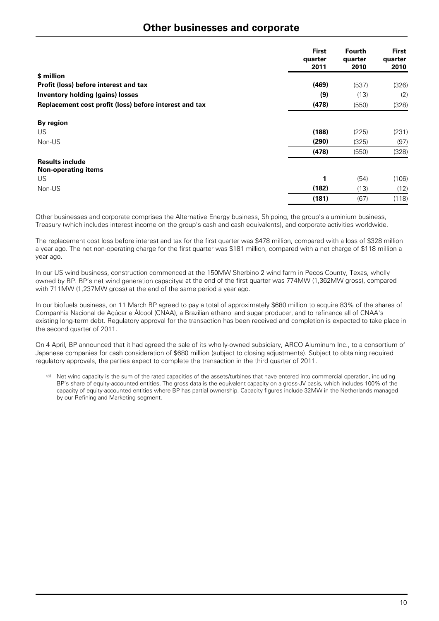|                                                        | <b>First</b><br>quarter<br>2011 | <b>Fourth</b><br>quarter<br>2010 | <b>First</b><br>quarter<br>2010 |
|--------------------------------------------------------|---------------------------------|----------------------------------|---------------------------------|
| \$ million                                             |                                 |                                  |                                 |
| Profit (loss) before interest and tax                  | (469)                           | (537)                            | (326)                           |
| <b>Inventory holding (gains) losses</b>                | (9)                             | (13)                             | (2)                             |
| Replacement cost profit (loss) before interest and tax | (478)                           | (550)                            | (328)                           |
| By region                                              |                                 |                                  |                                 |
| US.                                                    | (188)                           | (225)                            | (231)                           |
| Non-US                                                 | (290)                           | (325)                            | (97)                            |
|                                                        | (478)                           | (550)                            | (328)                           |
| <b>Results include</b><br><b>Non-operating items</b>   |                                 |                                  |                                 |
| US                                                     | 1                               | (54)                             | (106)                           |
| Non-US                                                 | (182)                           | (13)                             | (12)                            |
|                                                        | (181)                           | (67)                             | (118)                           |

Other businesses and corporate comprises the Alternative Energy business, Shipping, the group's aluminium business, Treasury (which includes interest income on the group's cash and cash equivalents), and corporate activities worldwide.

The replacement cost loss before interest and tax for the first quarter was \$478 million, compared with a loss of \$328 million a year ago. The net non-operating charge for the first quarter was \$181 million, compared with a net charge of \$118 million a year ago.

In our US wind business, construction commenced at the 150MW Sherbino 2 wind farm in Pecos County, Texas, wholly owned by BP. BP's net wind generation capacity(a) at the end of the first quarter was 774MW (1,362MW gross), compared with 711MW (1,237MW gross) at the end of the same period a year ago.

In our biofuels business, on 11 March BP agreed to pay a total of approximately \$680 million to acquire 83% of the shares of Companhia Nacional de Açúcar e Álcool (CNAA), a Brazilian ethanol and sugar producer, and to refinance all of CNAA's existing long-term debt. Regulatory approval for the transaction has been received and completion is expected to take place in the second quarter of 2011.

On 4 April, BP announced that it had agreed the sale of its wholly-owned subsidiary, ARCO Aluminum Inc., to a consortium of Japanese companies for cash consideration of \$680 million (subject to closing adjustments). Subject to obtaining required regulatory approvals, the parties expect to complete the transaction in the third quarter of 2011.

Net wind capacity is the sum of the rated capacities of the assets/turbines that have entered into commercial operation, including BP's share of equity-accounted entities. The gross data is the equivalent capacity on a gross-JV basis, which includes 100% of the capacity of equity-accounted entities where BP has partial ownership. Capacity figures include 32MW in the Netherlands managed by our Refining and Marketing segment.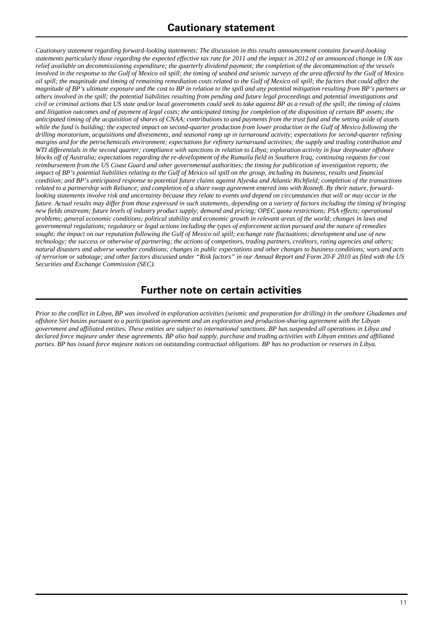*Cautionary statement regarding forward-looking statements: The discussion in this results announcement contains forward-looking statements particularly those regarding the expected effective tax rate for 2011 and the impact in 2012 of an announced change in UK tax relief available on decommissioning expenditure; the quarterly dividend payment; the completion of the decontamination of the vessels involved in the response to the Gulf of Mexico oil spill; the timing of seabed and seismic surveys of the area affected by the Gulf of Mexico oil spill; the magnitude and timing of remaining remediation costs related to the Gulf of Mexico oil spill; the factors that could affect the magnitude of BP's ultimate exposure and the cost to BP in relation to the spill and any potential mitigation resulting from BP's partners or others involved in the spill; the potential liabilities resulting from pending and future legal proceedings and potential investigations and civil or criminal actions that US state and/or local governments could seek to take against BP as a result of the spill; the timing of claims and litigation outcomes and of payment of legal costs; the anticipated timing for completion of the disposition of certain BP assets; the anticipated timing of the acquisition of shares of CNAA; contributions to and payments from the trust fund and the setting aside of assets while the fund is building; the expected impact on second-quarter production from lower production in the Gulf of Mexico following the drilling moratorium, acquisitions and divestments, and seasonal ramp up in turnaround activity; expectations for second-quarter refining margins and for the petrochemicals environment; expectations for refinery turnaround activities; the supply and trading contribution and WTI differentials in the second quarter; compliance with sanctions in relation to Libya; exploration activity in four deepwater offshore blocks off of Australia; expectations regarding the re-development of the Rumaila field in Southern Iraq; continuing requests for cost reimbursement from the US Coast Guard and other governmental authorities; the timing for publication of investigation reports; the impact of BP's potential liabilities relating to the Gulf of Mexico oil spill on the group, including its business, results and financial condition; and BP's anticipated response to potential future claims against Alyeska and Atlantic Richfield; completion of the transactions related to a partnership with Reliance; and completion of a share swap agreement entered into with Rosneft. By their nature, forwardlooking statements involve risk and uncertainty because they relate to events and depend on circumstances that will or may occur in the future. Actual results may differ from those expressed in such statements, depending on a variety of factors including the timing of bringing new fields onstream; future levels of industry product supply; demand and pricing; OPEC quota restrictions; PSA effects; operational problems; general economic conditions; political stability and economic growth in relevant areas of the world; changes in laws and governmental regulations; regulatory or legal actions including the types of enforcement action pursued and the nature of remedies sought; the impact on our reputation following the Gulf of Mexico oil spill; exchange rate fluctuations; development and use of new technology; the success or otherwise of partnering; the actions of competitors, trading partners, creditors, rating agencies and others; natural disasters and adverse weather conditions; changes in public expectations and other changes to business conditions; wars and acts of terrorism or sabotage; and other factors discussed under "Risk factors" in our Annual Report and Form 20-F 2010 as filed with the US Securities and Exchange Commission (SEC).* 

## **Further note on certain activities**

*Prior to the conflict in Libya, BP was involved in exploration activities (seismic and preparation for drilling) in the onshore Ghadames and offshore Sirt basins pursuant to a participation agreement and an exploration and production-sharing agreement with the Libyan government and affiliated entities. These entities are subject to international sanctions. BP has suspended all operations in Libya and declared force majeure under these agreements. BP also had supply, purchase and trading activities with Libyan entities and affiliated parties. BP has issued force majeure notices on outstanding contractual obligations. BP has no production or reserves in Libya.*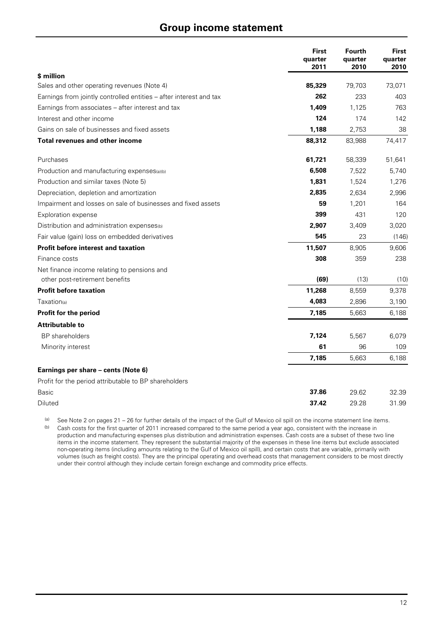### **Group income statement**

|                                                                    | <b>First</b><br>quarter<br>2011 | <b>Fourth</b><br>quarter<br>2010 | <b>First</b><br>quarter<br>2010 |
|--------------------------------------------------------------------|---------------------------------|----------------------------------|---------------------------------|
| \$ million                                                         |                                 |                                  |                                 |
| Sales and other operating revenues (Note 4)                        | 85,329                          | 79,703                           | 73,071                          |
| Earnings from jointly controlled entities – after interest and tax | 262                             | 233                              | 403                             |
| Earnings from associates – after interest and tax                  | 1,409                           | 1,125                            | 763                             |
| Interest and other income                                          | 124                             | 174                              | 142                             |
| Gains on sale of businesses and fixed assets                       | 1,188                           | 2,753                            | 38                              |
| Total revenues and other income                                    | 88,312                          | 83,988                           | 74,417                          |
| Purchases                                                          | 61,721                          | 58,339                           | 51,641                          |
| Production and manufacturing expenses(a)(b)                        | 6,508                           | 7,522                            | 5,740                           |
| Production and similar taxes (Note 5)                              | 1,831                           | 1,524                            | 1,276                           |
| Depreciation, depletion and amortization                           | 2,835                           | 2,634                            | 2,996                           |
| Impairment and losses on sale of businesses and fixed assets       | 59                              | 1,201                            | 164                             |
| <b>Exploration expense</b>                                         | 399                             | 431                              | 120                             |
| Distribution and administration expenses <sup>(b)</sup>            | 2,907                           | 3,409                            | 3,020                           |
| Fair value (gain) loss on embedded derivatives                     | 545                             | 23                               | (146)                           |
| <b>Profit before interest and taxation</b>                         | 11,507                          | 8,905                            | 9,606                           |
| Finance costs                                                      | 308                             | 359                              | 238                             |
| Net finance income relating to pensions and                        |                                 |                                  |                                 |
| other post-retirement benefits                                     | (69)                            | (13)                             | (10)                            |
| <b>Profit before taxation</b>                                      | 11,268                          | 8,559                            | 9,378                           |
| Taxation(a)                                                        | 4,083                           | 2,896                            | 3,190                           |
| Profit for the period                                              | 7,185                           | 5,663                            | 6,188                           |
| <b>Attributable to</b>                                             |                                 |                                  |                                 |
| <b>BP</b> shareholders                                             | 7,124                           | 5,567                            | 6,079                           |
| Minority interest                                                  | 61                              | 96                               | 109                             |
|                                                                    | 7,185                           | 5,663                            | 6,188                           |
| Earnings per share - cents (Note 6)                                |                                 |                                  |                                 |
| Profit for the period attributable to BP shareholders              |                                 |                                  |                                 |
| <b>Basic</b>                                                       | 37.86                           | 29.62                            | 32.39                           |
| Diluted                                                            | 37.42                           | 29.28                            | 31.99                           |

(a) See Note 2 on pages 21 – 26 for further details of the impact of the Gulf of Mexico oil spill on the income statement line items.

(b) Cash costs for the first quarter of 2011 increased compared to the same period a year ago, consistent with the increase in production and manufacturing expenses plus distribution and administration expenses. Cash costs are a subset of these two line items in the income statement. They represent the substantial majority of the expenses in these line items but exclude associated non-operating items (including amounts relating to the Gulf of Mexico oil spill), and certain costs that are variable, primarily with volumes (such as freight costs). They are the principal operating and overhead costs that management considers to be most directly under their control although they include certain foreign exchange and commodity price effects.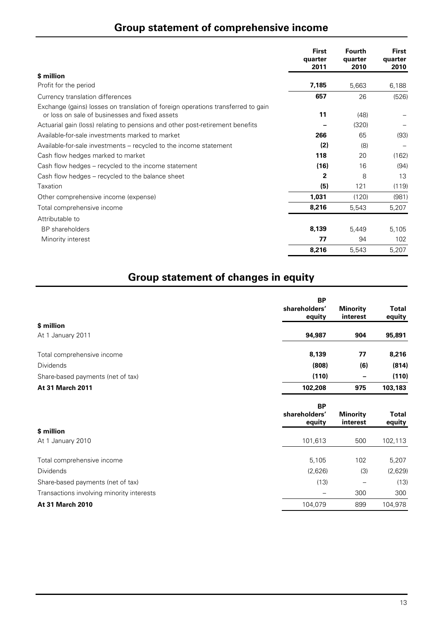# **Group statement of comprehensive income**

|                                                                                                                                    | <b>First</b><br>quarter<br>2011 | <b>Fourth</b><br>quarter<br>2010 | <b>First</b><br>quarter<br>2010 |
|------------------------------------------------------------------------------------------------------------------------------------|---------------------------------|----------------------------------|---------------------------------|
| \$ million                                                                                                                         |                                 |                                  |                                 |
| Profit for the period                                                                                                              | 7,185                           | 5,663                            | 6,188                           |
| Currency translation differences                                                                                                   | 657                             | 26                               | (526)                           |
| Exchange (gains) losses on translation of foreign operations transferred to gain<br>or loss on sale of businesses and fixed assets | 11                              | (48)                             |                                 |
| Actuarial gain (loss) relating to pensions and other post-retirement benefits                                                      |                                 | (320)                            |                                 |
| Available-for-sale investments marked to market                                                                                    | 266                             | 65                               | (93)                            |
| Available-for-sale investments – recycled to the income statement                                                                  | (2)                             | (8)                              |                                 |
| Cash flow hedges marked to market                                                                                                  | 118                             | 20                               | (162)                           |
| Cash flow hedges – recycled to the income statement                                                                                | (16)                            | 16                               | (94)                            |
| Cash flow hedges – recycled to the balance sheet                                                                                   | $\mathbf{2}$                    | 8                                | 13                              |
| Taxation                                                                                                                           | (5)                             | 121                              | (119)                           |
| Other comprehensive income (expense)                                                                                               | 1,031                           | (120)                            | (981)                           |
| Total comprehensive income                                                                                                         | 8,216                           | 5,543                            | 5,207                           |
| Attributable to                                                                                                                    |                                 |                                  |                                 |
| <b>BP</b> shareholders                                                                                                             | 8,139                           | 5,449                            | 5,105                           |
| Minority interest                                                                                                                  | 77                              | 94                               | 102                             |
|                                                                                                                                    | 8,216                           | 5,543                            | 5,207                           |

# **Group statement of changes in equity**

|                                           | <b>BP</b><br>shareholders'<br>equity | <b>Minority</b><br>interest | Total<br>equity |
|-------------------------------------------|--------------------------------------|-----------------------------|-----------------|
| \$ million<br>At 1 January 2011           | 94,987                               | 904                         | 95,891          |
|                                           |                                      |                             |                 |
| Total comprehensive income                | 8,139                                | 77                          | 8,216           |
| <b>Dividends</b>                          | (808)                                | (6)                         | (814)           |
| Share-based payments (net of tax)         | (110)                                |                             | (110)           |
| <b>At 31 March 2011</b>                   | 102,208                              | 975                         | 103,183         |
|                                           | <b>BP</b><br>shareholders'<br>equity | <b>Minority</b><br>interest | Total<br>equity |
| \$ million                                |                                      |                             |                 |
| At 1 January 2010                         | 101,613                              | 500                         | 102,113         |
| Total comprehensive income                | 5,105                                | 102                         | 5,207           |
| <b>Dividends</b>                          | (2,626)                              | (3)                         | (2,629)         |
| Share-based payments (net of tax)         | (13)                                 |                             | (13)            |
| Transactions involving minority interests |                                      | 300                         | 300             |
| <b>At 31 March 2010</b>                   | 104,079                              | 899                         | 104,978         |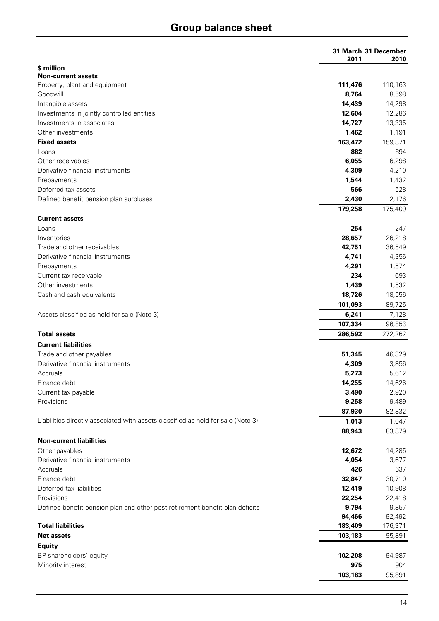# **Group balance sheet**

|                                                                                  | 31 March 31 December |         |
|----------------------------------------------------------------------------------|----------------------|---------|
| \$ million                                                                       | 2011                 | 2010    |
| <b>Non-current assets</b>                                                        |                      |         |
| Property, plant and equipment                                                    | 111,476              | 110,163 |
| Goodwill                                                                         | 8,764                | 8,598   |
| Intangible assets                                                                | 14,439               | 14,298  |
| Investments in jointly controlled entities                                       | 12,604               | 12,286  |
| Investments in associates                                                        | 14,727               | 13,335  |
| Other investments                                                                | 1,462                | 1,191   |
| <b>Fixed assets</b>                                                              | 163,472              | 159,871 |
| Loans                                                                            | 882                  | 894     |
| Other receivables                                                                | 6,055                | 6,298   |
| Derivative financial instruments                                                 | 4,309                | 4,210   |
| Prepayments                                                                      | 1,544                | 1,432   |
| Deferred tax assets                                                              | 566                  | 528     |
| Defined benefit pension plan surpluses                                           | 2,430                | 2,176   |
|                                                                                  | 179,258              | 175,409 |
| <b>Current assets</b>                                                            |                      |         |
| Loans                                                                            | 254                  | 247     |
| Inventories                                                                      | 28,657               | 26,218  |
| Trade and other receivables                                                      | 42,751               | 36,549  |
| Derivative financial instruments                                                 | 4,741                | 4,356   |
| Prepayments                                                                      | 4,291                | 1,574   |
| Current tax receivable                                                           | 234                  | 693     |
| Other investments                                                                | 1,439                | 1,532   |
| Cash and cash equivalents                                                        | 18,726               | 18,556  |
|                                                                                  | 101,093              | 89,725  |
| Assets classified as held for sale (Note 3)                                      | 6,241                | 7,128   |
|                                                                                  | 107,334              | 96,853  |
| <b>Total assets</b>                                                              | 286,592              | 272,262 |
| <b>Current liabilities</b>                                                       |                      |         |
| Trade and other payables                                                         | 51,345               | 46,329  |
| Derivative financial instruments                                                 | 4,309                | 3,856   |
| Accruals                                                                         | 5,273                | 5,612   |
| Finance debt                                                                     | 14,255               | 14,626  |
| Current tax payable                                                              | 3,490                | 2,920   |
| Provisions                                                                       | 9,258                | 9,489   |
|                                                                                  | 87,930               | 82,832  |
| Liabilities directly associated with assets classified as held for sale (Note 3) | 1,013                | 1,047   |
|                                                                                  | 88,943               | 83,879  |
| <b>Non-current liabilities</b>                                                   |                      |         |
| Other payables                                                                   | 12,672               | 14,285  |
| Derivative financial instruments                                                 | 4,054                | 3,677   |
| Accruals                                                                         | 426                  | 637     |
| Finance debt                                                                     | 32,847               | 30,710  |
| Deferred tax liabilities                                                         | 12,419               | 10,908  |
| Provisions                                                                       | 22,254               | 22,418  |
| Defined benefit pension plan and other post-retirement benefit plan deficits     | 9,794                | 9,857   |
|                                                                                  | 94,466               | 92,492  |
| <b>Total liabilities</b>                                                         | 183,409              | 176,371 |
| <b>Net assets</b>                                                                | 103,183              | 95,891  |
| Equity                                                                           |                      |         |
| BP shareholders' equity                                                          | 102,208              | 94,987  |
| Minority interest                                                                | 975                  | 904     |
|                                                                                  | 103,183              | 95,891  |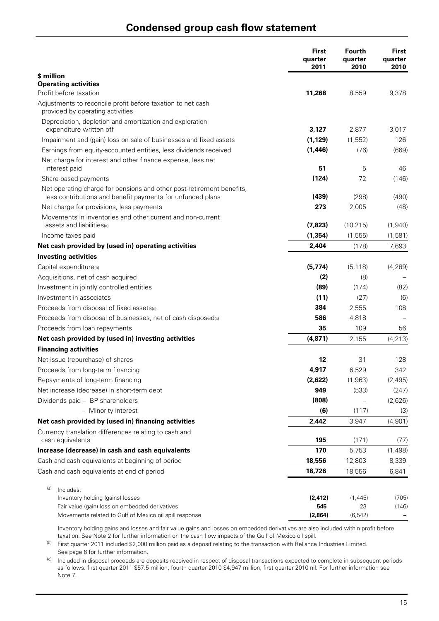### **Condensed group cash flow statement**

|                                                                                                                                     | <b>First</b><br>quarter<br>2011 | <b>Fourth</b><br>quarter<br>2010 | First<br>quarter<br>2010 |
|-------------------------------------------------------------------------------------------------------------------------------------|---------------------------------|----------------------------------|--------------------------|
| \$ million                                                                                                                          |                                 |                                  |                          |
| <b>Operating activities</b>                                                                                                         |                                 |                                  |                          |
| Profit before taxation                                                                                                              | 11,268                          | 8,559                            | 9,378                    |
| Adjustments to reconcile profit before taxation to net cash<br>provided by operating activities                                     |                                 |                                  |                          |
| Depreciation, depletion and amortization and exploration<br>expenditure written off                                                 | 3,127                           | 2,877                            | 3,017                    |
| Impairment and (gain) loss on sale of businesses and fixed assets                                                                   | (1, 129)                        | (1, 552)                         | 126                      |
| Earnings from equity-accounted entities, less dividends received                                                                    | (1, 446)                        | (76)                             | (669)                    |
| Net charge for interest and other finance expense, less net<br>interest paid                                                        | 51                              | 5                                | 46                       |
| Share-based payments                                                                                                                | (124)                           | 72                               | (146)                    |
| Net operating charge for pensions and other post-retirement benefits,<br>less contributions and benefit payments for unfunded plans | (439)                           | (298)                            | (490)                    |
| Net charge for provisions, less payments                                                                                            | 273                             | 2,005                            | (48)                     |
| Movements in inventories and other current and non-current                                                                          |                                 |                                  |                          |
| assets and liabilities(a)                                                                                                           | (7, 823)                        | (10, 215)                        | (1,940)                  |
| Income taxes paid                                                                                                                   | (1, 354)                        | (1, 555)                         | (1,581)                  |
| Net cash provided by (used in) operating activities                                                                                 | 2,404                           | (178)                            | 7,693                    |
| <b>Investing activities</b>                                                                                                         |                                 |                                  |                          |
| Capital expenditure(b)                                                                                                              | (5, 774)                        | (5, 118)                         | (4, 289)                 |
| Acquisitions, net of cash acquired                                                                                                  | (2)                             | (8)                              |                          |
| Investment in jointly controlled entities                                                                                           | (89)                            | (174)                            | (82)                     |
| Investment in associates                                                                                                            | (11)                            | (27)                             | (6)                      |
| Proceeds from disposal of fixed assets(c)                                                                                           | 384                             | 2,555                            | 108                      |
| Proceeds from disposal of businesses, net of cash disposed(c)                                                                       | 586                             | 4,818                            |                          |
| Proceeds from loan repayments                                                                                                       | 35                              | 109                              | 56                       |
| Net cash provided by (used in) investing activities                                                                                 | (4, 871)                        | 2,155                            | (4, 213)                 |
| <b>Financing activities</b>                                                                                                         |                                 |                                  |                          |
| Net issue (repurchase) of shares                                                                                                    | 12                              | 31                               | 128                      |
| Proceeds from long-term financing                                                                                                   | 4,917                           | 6,529                            | 342                      |
| Repayments of long-term financing                                                                                                   | (2,622)                         | (1,963)                          | (2, 495)                 |
| Net increase (decrease) in short-term debt                                                                                          | 949                             | (533)                            | (247)                    |
| Dividends paid - BP shareholders                                                                                                    | (808)                           |                                  | (2,626)                  |
| - Minority interest                                                                                                                 | (6)                             | (117)                            | (3)                      |
| Net cash provided by (used in) financing activities                                                                                 | 2,442                           | 3,947                            | (4,901)                  |
| Currency translation differences relating to cash and<br>cash equivalents                                                           | 195                             | (171)                            | (77)                     |
| Increase (decrease) in cash and cash equivalents                                                                                    | 170                             | 5,753                            | (1, 498)                 |
| Cash and cash equivalents at beginning of period                                                                                    | 18,556                          | 12,803                           | 8,339                    |
| Cash and cash equivalents at end of period                                                                                          | 18,726                          | 18,556                           | 6,841                    |
| (a)<br>Includes:                                                                                                                    |                                 |                                  |                          |
| Inventory holding (gains) losses                                                                                                    | (2, 412)                        | (1, 445)                         | (705)                    |
| Fair value (gain) loss on embedded derivatives<br>Movements related to Gulf of Mexico oil spill response                            | 545<br>(2,864)                  | 23<br>(6, 542)                   | (146)                    |

 Inventory holding gains and losses and fair value gains and losses on embedded derivatives are also included within profit before taxation. See Note 2 for further information on the cash flow impacts of the Gulf of Mexico oil spill.

(b) First quarter 2011 included \$2,000 million paid as a deposit relating to the transaction with Reliance Industries Limited. See page 6 for further information.

(c) Included in disposal proceeds are deposits received in respect of disposal transactions expected to complete in subsequent periods as follows: first quarter 2011 \$57.5 million; fourth quarter 2010 \$4,947 million; first quarter 2010 nil. For further information see Note 7.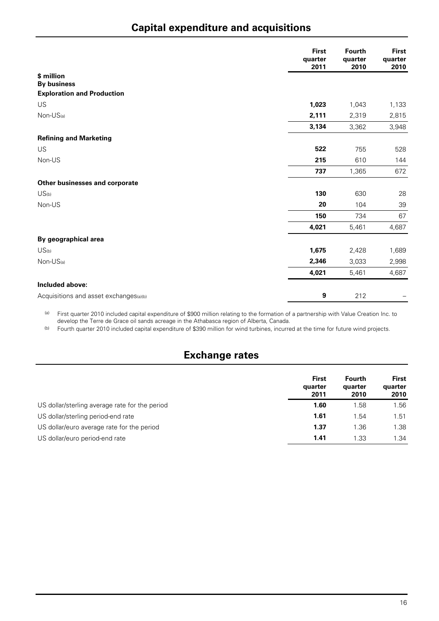# **Capital expenditure and acquisitions**

|                                        | <b>First</b><br>quarter<br>2011 | <b>Fourth</b><br>quarter<br>2010 | <b>First</b><br>quarter<br>2010 |
|----------------------------------------|---------------------------------|----------------------------------|---------------------------------|
| \$ million                             |                                 |                                  |                                 |
| <b>By business</b>                     |                                 |                                  |                                 |
| <b>Exploration and Production</b>      |                                 |                                  |                                 |
| US                                     | 1,023                           | 1,043                            | 1,133                           |
| $Non-US(a)$                            | 2,111                           | 2,319                            | 2,815                           |
|                                        | 3,134                           | 3,362                            | 3,948                           |
| <b>Refining and Marketing</b>          |                                 |                                  |                                 |
| US                                     | 522                             | 755                              | 528                             |
| Non-US                                 | 215                             | 610                              | 144                             |
|                                        | 737                             | 1,365                            | 672                             |
| Other businesses and corporate         |                                 |                                  |                                 |
| US <sub>(b)</sub>                      | 130                             | 630                              | 28                              |
| Non-US                                 | 20                              | 104                              | 39                              |
|                                        | 150                             | 734                              | 67                              |
|                                        | 4,021                           | 5,461                            | 4,687                           |
| By geographical area                   |                                 |                                  |                                 |
| US <sub>(b)</sub>                      | 1,675                           | 2,428                            | 1,689                           |
| $Non-US(a)$                            | 2,346                           | 3,033                            | 2,998                           |
|                                        | 4,021                           | 5,461                            | 4,687                           |
| Included above:                        |                                 |                                  |                                 |
| Acquisitions and asset exchanges(a)(b) | 9                               | 212                              |                                 |

(a) First quarter 2010 included capital expenditure of \$900 million relating to the formation of a partnership with Value Creation Inc. to develop the Terre de Grace oil sands acreage in the Athabasca region of Alberta, Canada.

(b) Fourth quarter 2010 included capital expenditure of \$390 million for wind turbines, incurred at the time for future wind projects.

## **Exchange rates**

|                                                | First<br>quarter<br>2011 | <b>Fourth</b><br>quarter<br>2010 | <b>First</b><br>quarter<br>2010 |
|------------------------------------------------|--------------------------|----------------------------------|---------------------------------|
| US dollar/sterling average rate for the period | 1.60                     | 1.58                             | 1.56                            |
| US dollar/sterling period-end rate             | 1.61                     | 1.54                             | 1.51                            |
| US dollar/euro average rate for the period     | 1.37                     | 1.36                             | 1.38                            |
| US dollar/euro period-end rate                 | 1.41                     | 1.33                             | 1.34                            |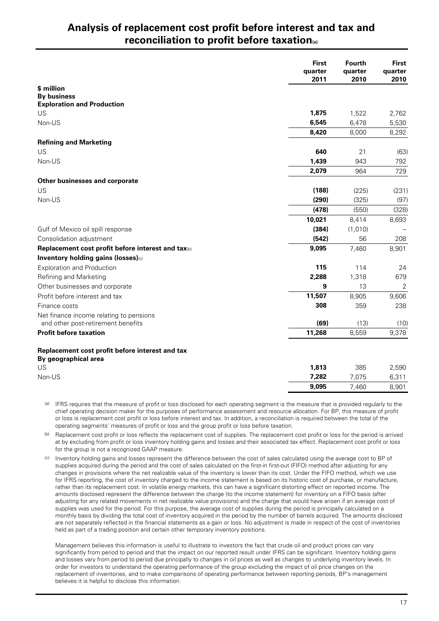## **Analysis of replacement cost profit before interest and tax and reconciliation to profit before taxation(a)**

|                                                    | <b>First</b><br>quarter<br>2011 | <b>Fourth</b><br>quarter<br>2010 | <b>First</b><br>quarter<br>2010 |
|----------------------------------------------------|---------------------------------|----------------------------------|---------------------------------|
| \$ million                                         |                                 |                                  |                                 |
| <b>By business</b>                                 |                                 |                                  |                                 |
| <b>Exploration and Production</b>                  |                                 |                                  |                                 |
| <b>US</b>                                          | 1,875                           | 1,522                            | 2,762                           |
| Non-US                                             | 6,545                           | 6,478                            | 5,530                           |
|                                                    | 8,420                           | 8,000                            | 8,292                           |
| <b>Refining and Marketing</b>                      |                                 |                                  |                                 |
| US                                                 | 640                             | 21                               | (63)                            |
| Non-US                                             | 1,439                           | 943                              | 792                             |
|                                                    | 2,079                           | 964                              | 729                             |
| Other businesses and corporate                     |                                 |                                  |                                 |
| US                                                 | (188)                           | (225)                            | (231)                           |
| Non-US                                             | (290)                           | (325)                            | (97)                            |
|                                                    | (478)                           | (550)                            | (328)                           |
|                                                    | 10,021                          | 8,414                            | 8,693                           |
| Gulf of Mexico oil spill response                  | (384)                           | (1,010)                          |                                 |
| Consolidation adjustment                           | (542)                           | 56                               | 208                             |
| Replacement cost profit before interest and tax(b) | 9,095                           | 7,460                            | 8,901                           |
| Inventory holding gains (losses)(c)                |                                 |                                  |                                 |
| <b>Exploration and Production</b>                  | 115                             | 114                              | 24                              |
| Refining and Marketing                             | 2,288                           | 1,318                            | 679                             |
| Other businesses and corporate                     | 9                               | 13                               | $\overline{2}$                  |
| Profit before interest and tax                     | 11,507                          | 8,905                            | 9,606                           |
| Finance costs                                      | 308                             | 359                              | 238                             |
| Net finance income relating to pensions            |                                 |                                  |                                 |
| and other post-retirement benefits                 | (69)                            | (13)                             | (10)                            |
| <b>Profit before taxation</b>                      | 11,268                          | 8,559                            | 9,378                           |
| Replacement cost profit before interest and tax    |                                 |                                  |                                 |
| By geographical area                               |                                 |                                  |                                 |
| US                                                 | 1,813                           | 385                              | 2,590                           |
| Non-US                                             | 7,282                           | 7,075                            | 6,311                           |
|                                                    | 9,095                           | 7,460                            | 8,901                           |

(a) IFRS requires that the measure of profit or loss disclosed for each operating segment is the measure that is provided regularly to the chief operating decision maker for the purposes of performance assessment and resource allocation. For BP, this measure of profit or loss is replacement cost profit or loss before interest and tax. In addition, a reconciliation is required between the total of the operating segments' measures of profit or loss and the group profit or loss before taxation.

(b) Replacement cost profit or loss reflects the replacement cost of supplies. The replacement cost profit or loss for the period is arrived at by excluding from profit or loss inventory holding gains and losses and their associated tax effect. Replacement cost profit or loss for the group is not a recognized GAAP measure.

(c) Inventory holding gains and losses represent the difference between the cost of sales calculated using the average cost to BP of supplies acquired during the period and the cost of sales calculated on the first-in first-out (FIFO) method after adjusting for any changes in provisions where the net realizable value of the inventory is lower than its cost. Under the FIFO method, which we use for IFRS reporting, the cost of inventory charged to the income statement is based on its historic cost of purchase, or manufacture, rather than its replacement cost. In volatile energy markets, this can have a significant distorting effect on reported income. The amounts disclosed represent the difference between the charge (to the income statement) for inventory on a FIFO basis (after adjusting for any related movements in net realizable value provisions) and the charge that would have arisen if an average cost of supplies was used for the period. For this purpose, the average cost of supplies during the period is principally calculated on a monthly basis by dividing the total cost of inventory acquired in the period by the number of barrels acquired. The amounts disclosed are not separately reflected in the financial statements as a gain or loss. No adjustment is made in respect of the cost of inventories held as part of a trading position and certain other temporary inventory positions.

Management believes this information is useful to illustrate to investors the fact that crude oil and product prices can vary significantly from period to period and that the impact on our reported result under IFRS can be significant. Inventory holding gains and losses vary from period to period due principally to changes in oil prices as well as changes to underlying inventory levels. In order for investors to understand the operating performance of the group excluding the impact of oil price changes on the replacement of inventories, and to make comparisons of operating performance between reporting periods, BP's management believes it is helpful to disclose this information.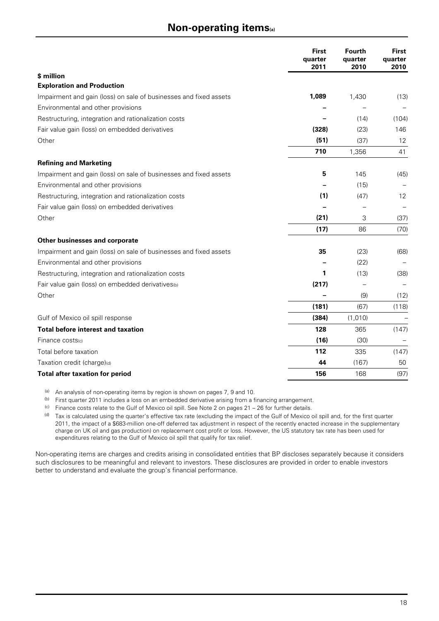### **Non-operating items(a)**

|                                                                   | <b>First</b><br>quarter<br>2011 | Fourth<br>quarter<br>2010 | <b>First</b><br>quarter<br>2010 |
|-------------------------------------------------------------------|---------------------------------|---------------------------|---------------------------------|
| \$ million                                                        |                                 |                           |                                 |
| <b>Exploration and Production</b>                                 |                                 |                           |                                 |
| Impairment and gain (loss) on sale of businesses and fixed assets | 1,089                           | 1,430                     | (13)                            |
| Environmental and other provisions                                |                                 |                           |                                 |
| Restructuring, integration and rationalization costs              |                                 | (14)                      | (104)                           |
| Fair value gain (loss) on embedded derivatives                    | (328)                           | (23)                      | 146                             |
| Other                                                             | (51)                            | (37)                      | 12                              |
|                                                                   | 710                             | 1,356                     | 41                              |
| <b>Refining and Marketing</b>                                     |                                 |                           |                                 |
| Impairment and gain (loss) on sale of businesses and fixed assets | 5                               | 145                       | (45)                            |
| Environmental and other provisions                                |                                 | (15)                      |                                 |
| Restructuring, integration and rationalization costs              | (1)                             | (47)                      | 12                              |
| Fair value gain (loss) on embedded derivatives                    |                                 |                           |                                 |
| Other                                                             | (21)                            | 3                         | (37)                            |
|                                                                   | (17)                            | 86                        | (70)                            |
| Other businesses and corporate                                    |                                 |                           |                                 |
| Impairment and gain (loss) on sale of businesses and fixed assets | 35                              | (23)                      | (68)                            |
| Environmental and other provisions                                |                                 | (22)                      |                                 |
| Restructuring, integration and rationalization costs              | 1                               | (13)                      | (38)                            |
| Fair value gain (loss) on embedded derivatives(b)                 | (217)                           |                           |                                 |
| Other                                                             |                                 | (9)                       | (12)                            |
|                                                                   | (181)                           | (67)                      | (118)                           |
| Gulf of Mexico oil spill response                                 | (384)                           | (1,010)                   |                                 |
| <b>Total before interest and taxation</b>                         | 128                             | 365                       | (147)                           |
| Finance costs(c)                                                  | (16)                            | (30)                      |                                 |
| Total before taxation                                             | 112                             | 335                       | (147)                           |
| Taxation credit (charge)(d)                                       | 44                              | (167)                     | 50                              |
| <b>Total after taxation for period</b>                            | 156                             | 168                       | (97)                            |

(a) An analysis of non-operating items by region is shown on pages 7, 9 and 10.

(b) First quarter 2011 includes a loss on an embedded derivative arising from a financing arrangement.

(c) Finance costs relate to the Gulf of Mexico oil spill. See Note 2 on pages  $21 - 26$  for further details.

(d) Tax is calculated using the quarter's effective tax rate (excluding the impact of the Gulf of Mexico oil spill and, for the first quarter 2011, the impact of a \$683-million one-off deferred tax adjustment in respect of the recently enacted increase in the supplementary charge on UK oil and gas production) on replacement cost profit or loss. However, the US statutory tax rate has been used for expenditures relating to the Gulf of Mexico oil spill that qualify for tax relief.

Non-operating items are charges and credits arising in consolidated entities that BP discloses separately because it considers such disclosures to be meaningful and relevant to investors. These disclosures are provided in order to enable investors better to understand and evaluate the group's financial performance.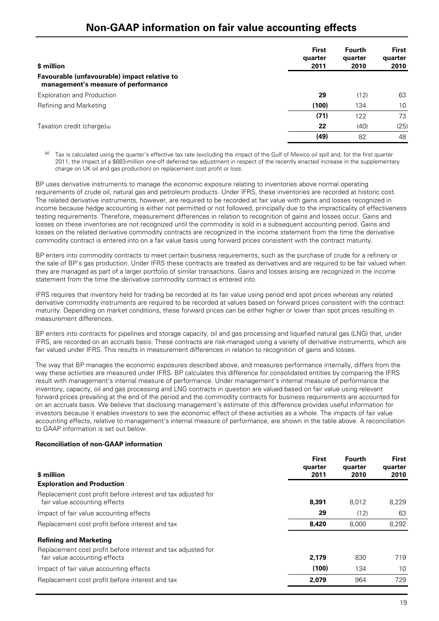## **Non-GAAP information on fair value accounting effects**

| \$ million                                                                          | <b>First</b><br>quarter<br>2011 | <b>Fourth</b><br>quarter<br>2010 | <b>First</b><br>quarter<br>2010 |
|-------------------------------------------------------------------------------------|---------------------------------|----------------------------------|---------------------------------|
| Favourable (unfavourable) impact relative to<br>management's measure of performance |                                 |                                  |                                 |
| <b>Exploration and Production</b>                                                   | 29                              | (12)                             | 63                              |
| Refining and Marketing                                                              | (100)                           | 134                              | 10 <sup>1</sup>                 |
|                                                                                     | (71)                            | 122                              | 73                              |
| Taxation credit (charge)(a)                                                         | 22                              | (40)                             | (25)                            |
|                                                                                     | (49)                            | 82                               | 48                              |

Tax is calculated using the quarter's effective tax rate (excluding the impact of the Gulf of Mexico oil spill and, for the first quarter 2011, the impact of a \$683-million one-off deferred tax adjustment in respect of the recently enacted increase in the supplementary charge on UK oil and gas production) on replacement cost profit or loss.

BP uses derivative instruments to manage the economic exposure relating to inventories above normal operating requirements of crude oil, natural gas and petroleum products. Under IFRS, these inventories are recorded at historic cost. The related derivative instruments, however, are required to be recorded at fair value with gains and losses recognized in income because hedge accounting is either not permitted or not followed, principally due to the impracticality of effectiveness testing requirements. Therefore, measurement differences in relation to recognition of gains and losses occur. Gains and losses on these inventories are not recognized until the commodity is sold in a subsequent accounting period. Gains and losses on the related derivative commodity contracts are recognized in the income statement from the time the derivative commodity contract is entered into on a fair value basis using forward prices consistent with the contract maturity.

BP enters into commodity contracts to meet certain business requirements, such as the purchase of crude for a refinery or the sale of BP's gas production. Under IFRS these contracts are treated as derivatives and are required to be fair valued when they are managed as part of a larger portfolio of similar transactions. Gains and losses arising are recognized in the income statement from the time the derivative commodity contract is entered into.

IFRS requires that inventory held for trading be recorded at its fair value using period end spot prices whereas any related derivative commodity instruments are required to be recorded at values based on forward prices consistent with the contract maturity. Depending on market conditions, these forward prices can be either higher or lower than spot prices resulting in measurement differences.

BP enters into contracts for pipelines and storage capacity, oil and gas processing and liquefied natural gas (LNG) that, under IFRS, are recorded on an accruals basis. These contracts are risk-managed using a variety of derivative instruments, which are fair valued under IFRS. This results in measurement differences in relation to recognition of gains and losses.

The way that BP manages the economic exposures described above, and measures performance internally, differs from the way these activities are measured under IFRS. BP calculates this difference for consolidated entities by comparing the IFRS result with management's internal measure of performance. Under management's internal measure of performance the inventory, capacity, oil and gas processing and LNG contracts in question are valued based on fair value using relevant forward prices prevailing at the end of the period and the commodity contracts for business requirements are accounted for on an accruals basis. We believe that disclosing management's estimate of this difference provides useful information for investors because it enables investors to see the economic effect of these activities as a whole. The impacts of fair value accounting effects, relative to management's internal measure of performance, are shown in the table above. A reconciliation to GAAP information is set out below.

#### **Reconciliation of non-GAAP information**

| \$ million                                                                                    | <b>First</b><br>quarter<br>2011 | <b>Fourth</b><br>quarter<br>2010 | <b>First</b><br>quarter<br>2010 |
|-----------------------------------------------------------------------------------------------|---------------------------------|----------------------------------|---------------------------------|
| <b>Exploration and Production</b>                                                             |                                 |                                  |                                 |
| Replacement cost profit before interest and tax adjusted for<br>fair value accounting effects | 8,391                           | 8.012                            | 8.229                           |
| Impact of fair value accounting effects                                                       | 29                              | (12)                             | 63                              |
| Replacement cost profit before interest and tax                                               | 8,420                           | 8.000                            | 8.292                           |
| <b>Refining and Marketing</b>                                                                 |                                 |                                  |                                 |
| Replacement cost profit before interest and tax adjusted for<br>fair value accounting effects | 2,179                           | 830                              | 719                             |
| Impact of fair value accounting effects                                                       | (100)                           | 134                              | 10                              |
| Replacement cost profit before interest and tax                                               | 2,079                           | 964                              | 729                             |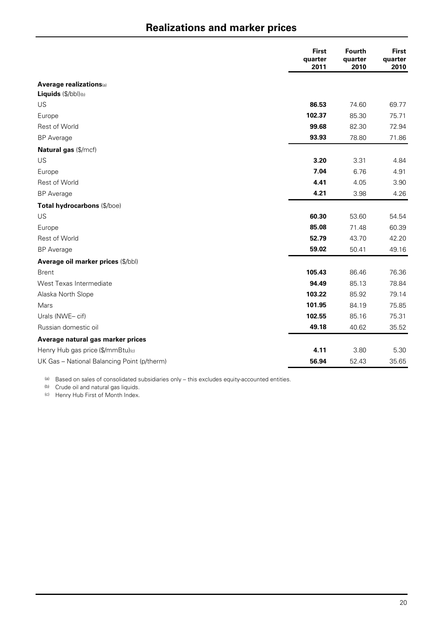# **Realizations and marker prices**

|                                             | <b>First</b><br>quarter<br>2011 | <b>Fourth</b><br>quarter<br>2010 | <b>First</b><br>quarter<br>2010 |
|---------------------------------------------|---------------------------------|----------------------------------|---------------------------------|
| <b>Average realizations</b> (a)             |                                 |                                  |                                 |
| Liquids (\$/bbl)(b)                         |                                 |                                  |                                 |
| US                                          | 86.53                           | 74.60                            | 69.77                           |
| Europe                                      | 102.37                          | 85.30                            | 75.71                           |
| Rest of World                               | 99.68                           | 82.30                            | 72.94                           |
| <b>BP</b> Average                           | 93.93                           | 78.80                            | 71.86                           |
| Natural gas (\$/mcf)                        |                                 |                                  |                                 |
| <b>US</b>                                   | 3.20                            | 3.31                             | 4.84                            |
| Europe                                      | 7.04                            | 6.76                             | 4.91                            |
| Rest of World                               | 4.41                            | 4.05                             | 3.90                            |
| <b>BP</b> Average                           | 4.21                            | 3.98                             | 4.26                            |
| Total hydrocarbons (\$/boe)                 |                                 |                                  |                                 |
| US                                          | 60.30                           | 53.60                            | 54.54                           |
| Europe                                      | 85.08                           | 71.48                            | 60.39                           |
| Rest of World                               | 52.79                           | 43.70                            | 42.20                           |
| <b>BP</b> Average                           | 59.02                           | 50.41                            | 49.16                           |
| Average oil marker prices (\$/bbl)          |                                 |                                  |                                 |
| <b>Brent</b>                                | 105.43                          | 86.46                            | 76.36                           |
| West Texas Intermediate                     | 94.49                           | 85.13                            | 78.84                           |
| Alaska North Slope                          | 103.22                          | 85.92                            | 79.14                           |
| Mars                                        | 101.95                          | 84.19                            | 75.85                           |
| Urals (NWE-cif)                             | 102.55                          | 85.16                            | 75.31                           |
| Russian domestic oil                        | 49.18                           | 40.62                            | 35.52                           |
| Average natural gas marker prices           |                                 |                                  |                                 |
| Henry Hub gas price (\$/mmBtu)(c)           | 4.11                            | 3.80                             | 5.30                            |
| UK Gas - National Balancing Point (p/therm) | 56.94                           | 52.43                            | 35.65                           |

(a) Based on sales of consolidated subsidiaries only - this excludes equity-accounted entities.

(b) Crude oil and natural gas liquids.

(c) Henry Hub First of Month Index.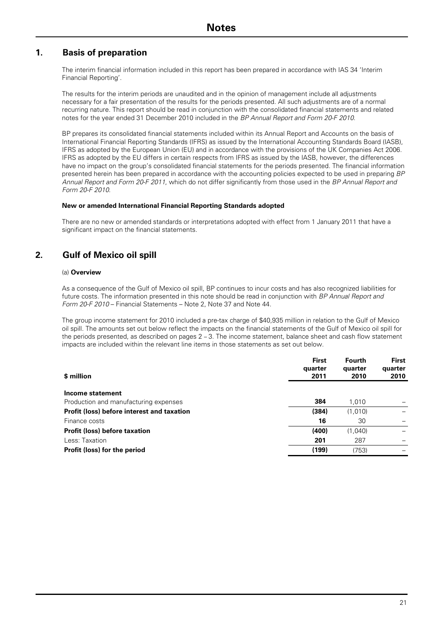### **1. Basis of preparation**

The interim financial information included in this report has been prepared in accordance with IAS 34 'Interim Financial Reporting'.

The results for the interim periods are unaudited and in the opinion of management include all adjustments necessary for a fair presentation of the results for the periods presented. All such adjustments are of a normal recurring nature. This report should be read in conjunction with the consolidated financial statements and related notes for the year ended 31 December 2010 included in the *BP Annual Report and Form 20-F 2010*.

BP prepares its consolidated financial statements included within its Annual Report and Accounts on the basis of International Financial Reporting Standards (IFRS) as issued by the International Accounting Standards Board (IASB), IFRS as adopted by the European Union (EU) and in accordance with the provisions of the UK Companies Act 2006. IFRS as adopted by the EU differs in certain respects from IFRS as issued by the IASB, however, the differences have no impact on the group's consolidated financial statements for the periods presented. The financial information presented herein has been prepared in accordance with the accounting policies expected to be used in preparing *BP Annual Report and Form 20-F 2011*, which do not differ significantly from those used in the *BP Annual Report and Form 20-F 2010*.

#### **New or amended International Financial Reporting Standards adopted**

There are no new or amended standards or interpretations adopted with effect from 1 January 2011 that have a significant impact on the financial statements.

### **2. Gulf of Mexico oil spill**

#### (a) **Overview**

As a consequence of the Gulf of Mexico oil spill, BP continues to incur costs and has also recognized liabilities for future costs. The information presented in this note should be read in conjunction with *BP Annual Report and Form 20-F 2010* – Financial Statements – Note 2, Note 37 and Note 44.

The group income statement for 2010 included a pre-tax charge of \$40,935 million in relation to the Gulf of Mexico oil spill. The amounts set out below reflect the impacts on the financial statements of the Gulf of Mexico oil spill for the periods presented, as described on pages 2 – 3. The income statement, balance sheet and cash flow statement impacts are included within the relevant line items in those statements as set out below.

| \$ million                                 | <b>First</b><br>quarter<br>2011 | <b>Fourth</b><br>quarter<br>2010 | <b>First</b><br>quarter<br>2010 |
|--------------------------------------------|---------------------------------|----------------------------------|---------------------------------|
| Income statement                           |                                 |                                  |                                 |
| Production and manufacturing expenses      | 384                             | 1,010                            |                                 |
| Profit (loss) before interest and taxation | (384)                           | (1,010)                          |                                 |
| Finance costs                              | 16                              | 30                               |                                 |
| <b>Profit (loss) before taxation</b>       | (400)                           | (1,040)                          |                                 |
| Less: Taxation                             | 201                             | 287                              |                                 |
| Profit (loss) for the period               | (199)                           | (753)                            |                                 |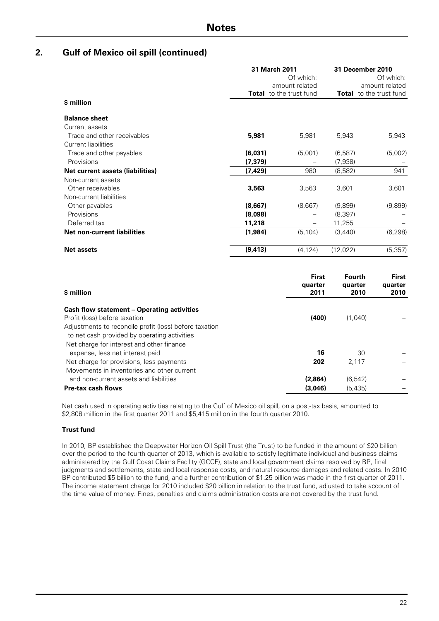|                                                                      |                     | 31 March 2011<br>Of which:<br>amount related |                     | 31 December 2010<br>Of which:<br>amount related |
|----------------------------------------------------------------------|---------------------|----------------------------------------------|---------------------|-------------------------------------------------|
| \$ million                                                           |                     | <b>Total</b> to the trust fund               |                     | <b>Total</b> to the trust fund                  |
| <b>Balance sheet</b>                                                 |                     |                                              |                     |                                                 |
| Current assets<br>Trade and other receivables                        | 5,981               | 5,981                                        | 5,943               | 5,943                                           |
| <b>Current liabilities</b><br>Trade and other payables<br>Provisions | (6,031)<br>(7, 379) | (5,001)                                      | (6,587)<br>(7,938)  | (5,002)                                         |
| <b>Net current assets (liabilities)</b>                              | (7, 429)            | 980                                          | (8,582)             | 941                                             |
| Non-current assets<br>Other receivables<br>Non-current liabilities   | 3,563               | 3,563                                        | 3,601               | 3,601                                           |
| Other payables<br>Provisions                                         | (8,667)<br>(8,098)  | (8,667)                                      | (9,899)<br>(8, 397) | (9,899)                                         |
| Deferred tax                                                         | 11,218              |                                              | 11,255              |                                                 |
| Net non-current liabilities                                          | (1,984)             | (5, 104)                                     | (3,440)             | (6, 298)                                        |
| <b>Net assets</b>                                                    | (9, 413)            | (4, 124)                                     | (12,022)            | (5, 357)                                        |

| \$ million                                             | <b>First</b><br>quarter<br>2011 | Fourth<br>quarter<br>2010 | First<br>quarter<br>2010 |
|--------------------------------------------------------|---------------------------------|---------------------------|--------------------------|
| Cash flow statement – Operating activities             |                                 |                           |                          |
| Profit (loss) before taxation                          | (400)                           | (1.040)                   |                          |
| Adjustments to reconcile profit (loss) before taxation |                                 |                           |                          |
| to net cash provided by operating activities           |                                 |                           |                          |
| Net charge for interest and other finance              |                                 |                           |                          |
| expense, less net interest paid                        | 16                              | 30                        |                          |
| Net charge for provisions, less payments               | 202                             | 2.117                     |                          |
| Movements in inventories and other current             |                                 |                           |                          |
| and non-current assets and liabilities                 | (2,864)                         | (6, 542)                  |                          |
| <b>Pre-tax cash flows</b>                              | (3,046)                         | (5, 435)                  |                          |

Net cash used in operating activities relating to the Gulf of Mexico oil spill, on a post-tax basis, amounted to \$2,808 million in the first quarter 2011 and \$5,415 million in the fourth quarter 2010.

#### **Trust fund**

In 2010, BP established the Deepwater Horizon Oil Spill Trust (the Trust) to be funded in the amount of \$20 billion over the period to the fourth quarter of 2013, which is available to satisfy legitimate individual and business claims administered by the Gulf Coast Claims Facility (GCCF), state and local government claims resolved by BP, final judgments and settlements, state and local response costs, and natural resource damages and related costs. In 2010 BP contributed \$5 billion to the fund, and a further contribution of \$1.25 billion was made in the first quarter of 2011. The income statement charge for 2010 included \$20 billion in relation to the trust fund, adjusted to take account of the time value of money. Fines, penalties and claims administration costs are not covered by the trust fund.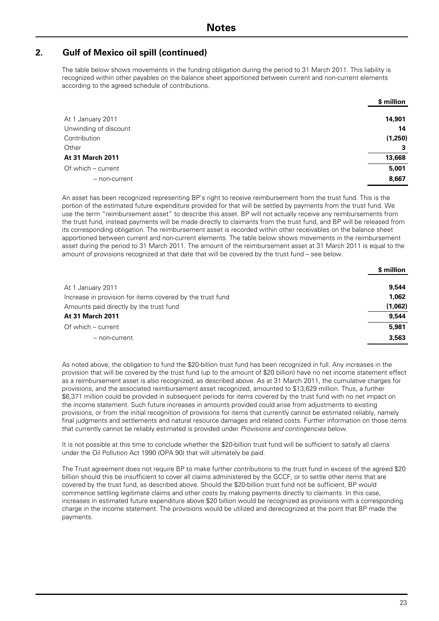The table below shows movements in the funding obligation during the period to 31 March 2011. This liability is recognized within other payables on the balance sheet apportioned between current and non-current elements according to the agreed schedule of contributions.

|                       | \$ million |
|-----------------------|------------|
| At 1 January 2011     | 14,901     |
| Unwinding of discount | 14         |
| Contribution          | (1,250)    |
| Other                 | 3          |
| At 31 March 2011      | 13,668     |
| Of which - current    | 5,001      |
| - non-current         | 8,667      |

An asset has been recognized representing BP's right to receive reimbursement from the trust fund. This is the portion of the estimated future expenditure provided for that will be settled by payments from the trust fund. We use the term "reimbursement asset" to describe this asset. BP will not actually receive any reimbursements from the trust fund, instead payments will be made directly to claimants from the trust fund, and BP will be released from its corresponding obligation. The reimbursement asset is recorded within other receivables on the balance sheet apportioned between current and non-current elements. The table below shows movements in the reimbursement asset during the period to 31 March 2011. The amount of the reimbursement asset at 31 March 2011 is equal to the amount of provisions recognized at that date that will be covered by the trust fund – see below.

|                                                           | \$ million |
|-----------------------------------------------------------|------------|
| At 1 January 2011                                         | 9.544      |
| Increase in provision for items covered by the trust fund | 1,062      |
| Amounts paid directly by the trust fund                   | (1,062)    |
| <b>At 31 March 2011</b>                                   | 9.544      |
| Of which – current                                        | 5,981      |
| - non-current                                             | 3.563      |

As noted above, the obligation to fund the \$20-billion trust fund has been recognized in full. Any increases in the provision that will be covered by the trust fund (up to the amount of \$20 billion) have no net income statement effect as a reimbursement asset is also recognized, as described above. As at 31 March 2011, the cumulative charges for provisions, and the associated reimbursement asset recognized, amounted to \$13,629 million. Thus, a further \$6,371 million could be provided in subsequent periods for items covered by the trust fund with no net impact on the income statement. Such future increases in amounts provided could arise from adjustments to existing provisions, or from the initial recognition of provisions for items that currently cannot be estimated reliably, namely final judgments and settlements and natural resource damages and related costs. Further information on those items that currently cannot be reliably estimated is provided under *Provisions and contingencies* below.

It is not possible at this time to conclude whether the \$20-billion trust fund will be sufficient to satisfy all claims under the Oil Pollution Act 1990 (OPA 90) that will ultimately be paid.

The Trust agreement does not require BP to make further contributions to the trust fund in excess of the agreed \$20 billion should this be insufficient to cover all claims administered by the GCCF, or to settle other items that are covered by the trust fund, as described above. Should the \$20-billion trust fund not be sufficient, BP would commence settling legitimate claims and other costs by making payments directly to claimants. In this case, increases in estimated future expenditure above \$20 billion would be recognized as provisions with a corresponding charge in the income statement. The provisions would be utilized and derecognized at the point that BP made the payments.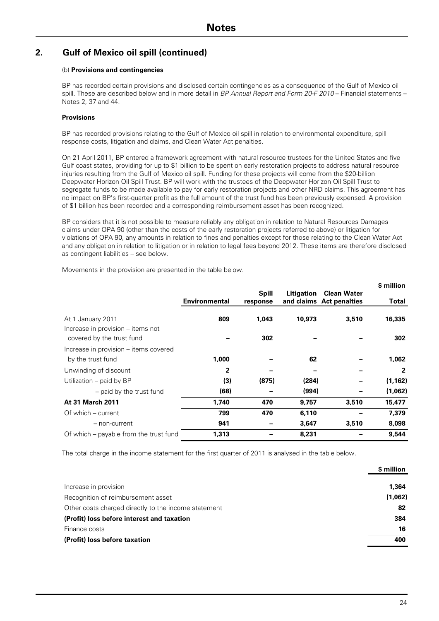#### (b) **Provisions and contingencies**

BP has recorded certain provisions and disclosed certain contingencies as a consequence of the Gulf of Mexico oil spill. These are described below and in more detail in *BP Annual Report and Form 20-F 2010* – Financial statements – Notes 2, 37 and 44.

#### **Provisions**

BP has recorded provisions relating to the Gulf of Mexico oil spill in relation to environmental expenditure, spill response costs, litigation and claims, and Clean Water Act penalties.

On 21 April 2011, BP entered a framework agreement with natural resource trustees for the United States and five Gulf coast states, providing for up to \$1 billion to be spent on early restoration projects to address natural resource injuries resulting from the Gulf of Mexico oil spill. Funding for these projects will come from the \$20-billion Deepwater Horizon Oil Spill Trust. BP will work with the trustees of the Deepwater Horizon Oil Spill Trust to segregate funds to be made available to pay for early restoration projects and other NRD claims. This agreement has no impact on BP's first-quarter profit as the full amount of the trust fund has been previously expensed. A provision of \$1 billion has been recorded and a corresponding reimbursement asset has been recognized.

BP considers that it is not possible to measure reliably any obligation in relation to Natural Resources Damages claims under OPA 90 (other than the costs of the early restoration projects referred to above) or litigation for violations of OPA 90, any amounts in relation to fines and penalties except for those relating to the Clean Water Act and any obligation in relation to litigation or in relation to legal fees beyond 2012. These items are therefore disclosed as contingent liabilities – see below.

Movements in the provision are presented in the table below.

|                                                                                     |                      |                          |            |                                                | \$ million    |
|-------------------------------------------------------------------------------------|----------------------|--------------------------|------------|------------------------------------------------|---------------|
|                                                                                     | <b>Environmental</b> | <b>Spill</b><br>response | Litigation | <b>Clean Water</b><br>and claims Act penalties | Total         |
| At 1 January 2011<br>Increase in provision – items not<br>covered by the trust fund | 809                  | 1,043<br>302             | 10,973     | 3,510                                          | 16,335<br>302 |
| Increase in provision – items covered<br>by the trust fund                          | 1,000                |                          | 62         |                                                | 1,062         |
| Unwinding of discount                                                               | $\mathbf{2}$         |                          |            |                                                | $\mathbf{2}$  |
| Utilization – paid by BP                                                            | (3)                  | (875)                    | (284)      |                                                | (1, 162)      |
| - paid by the trust fund                                                            | (68)                 |                          | (994)      |                                                | (1,062)       |
| <b>At 31 March 2011</b>                                                             | 1,740                | 470                      | 9,757      | 3,510                                          | 15,477        |
| Of which – current                                                                  | 799                  | 470                      | 6,110      |                                                | 7,379         |
| - non-current                                                                       | 941                  |                          | 3,647      | 3,510                                          | 8,098         |
| Of which – payable from the trust fund                                              | 1,313                |                          | 8,231      |                                                | 9,544         |

The total charge in the income statement for the first quarter of 2011 is analysed in the table below.

|                                                      | \$ million |
|------------------------------------------------------|------------|
| Increase in provision                                | 1.364      |
| Recognition of reimbursement asset                   | (1,062)    |
| Other costs charged directly to the income statement | 82         |
| (Profit) loss before interest and taxation           | 384        |
| Finance costs                                        | 16         |
| (Profit) loss before taxation                        | 400        |
|                                                      |            |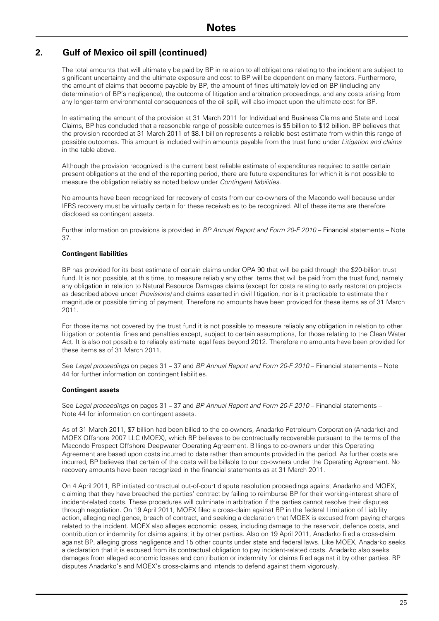The total amounts that will ultimately be paid by BP in relation to all obligations relating to the incident are subject to significant uncertainty and the ultimate exposure and cost to BP will be dependent on many factors. Furthermore, the amount of claims that become payable by BP, the amount of fines ultimately levied on BP (including any determination of BP's negligence), the outcome of litigation and arbitration proceedings, and any costs arising from any longer-term environmental consequences of the oil spill, will also impact upon the ultimate cost for BP.

In estimating the amount of the provision at 31 March 2011 for Individual and Business Claims and State and Local Claims, BP has concluded that a reasonable range of possible outcomes is \$5 billion to \$12 billion. BP believes that the provision recorded at 31 March 2011 of \$8.1 billion represents a reliable best estimate from within this range of possible outcomes. This amount is included within amounts payable from the trust fund under *Litigation and claims* in the table above.

Although the provision recognized is the current best reliable estimate of expenditures required to settle certain present obligations at the end of the reporting period, there are future expenditures for which it is not possible to measure the obligation reliably as noted below under *Contingent liabilities*.

No amounts have been recognized for recovery of costs from our co-owners of the Macondo well because under IFRS recovery must be virtually certain for these receivables to be recognized. All of these items are therefore disclosed as contingent assets.

Further information on provisions is provided in *BP Annual Report and Form 20-F 2010* – Financial statements – Note 37.

#### **Contingent liabilities**

BP has provided for its best estimate of certain claims under OPA 90 that will be paid through the \$20-billion trust fund. It is not possible, at this time, to measure reliably any other items that will be paid from the trust fund, namely any obligation in relation to Natural Resource Damages claims (except for costs relating to early restoration projects as described above under *Provisions)* and claims asserted in civil litigation, nor is it practicable to estimate their magnitude or possible timing of payment. Therefore no amounts have been provided for these items as of 31 March 2011.

For those items not covered by the trust fund it is not possible to measure reliably any obligation in relation to other litigation or potential fines and penalties except, subject to certain assumptions, for those relating to the Clean Water Act. It is also not possible to reliably estimate legal fees beyond 2012. Therefore no amounts have been provided for these items as of 31 March 2011.

See *Legal proceedings* on pages 31 – 37 and *BP Annual Report and Form 20-F 2010* – Financial statements – Note 44 for further information on contingent liabilities.

#### **Contingent assets**

See *Legal proceedings* on pages 31 – 37 and *BP Annual Report and Form 20-F 2010* – Financial statements – Note 44 for information on contingent assets.

As of 31 March 2011, \$7 billion had been billed to the co-owners, Anadarko Petroleum Corporation (Anadarko) and MOEX Offshore 2007 LLC (MOEX), which BP believes to be contractually recoverable pursuant to the terms of the Macondo Prospect Offshore Deepwater Operating Agreement. Billings to co-owners under this Operating Agreement are based upon costs incurred to date rather than amounts provided in the period. As further costs are incurred, BP believes that certain of the costs will be billable to our co-owners under the Operating Agreement. No recovery amounts have been recognized in the financial statements as at 31 March 2011.

On 4 April 2011, BP initiated contractual out-of-court dispute resolution proceedings against Anadarko and MOEX, claiming that they have breached the parties' contract by failing to reimburse BP for their working-interest share of incident-related costs. These procedures will culminate in arbitration if the parties cannot resolve their disputes through negotiation. On 19 April 2011, MOEX filed a cross-claim against BP in the federal Limitation of Liability action, alleging negligence, breach of contract, and seeking a declaration that MOEX is excused from paying charges related to the incident. MOEX also alleges economic losses, including damage to the reservoir, defence costs, and contribution or indemnity for claims against it by other parties. Also on 19 April 2011, Anadarko filed a cross-claim against BP, alleging gross negligence and 15 other counts under state and federal laws. Like MOEX, Anadarko seeks a declaration that it is excused from its contractual obligation to pay incident-related costs. Anadarko also seeks damages from alleged economic losses and contribution or indemnity for claims filed against it by other parties. BP disputes Anadarko's and MOEX's cross-claims and intends to defend against them vigorously.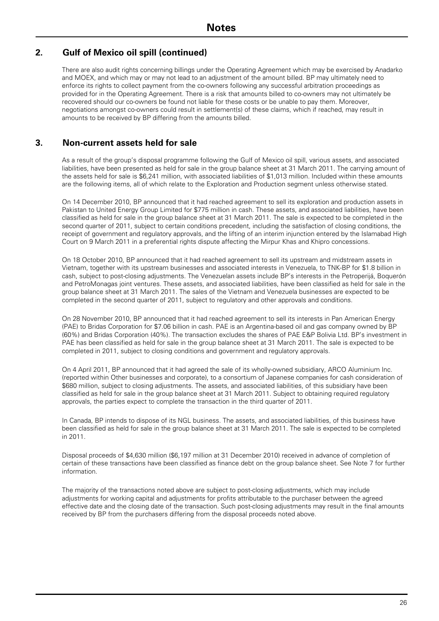There are also audit rights concerning billings under the Operating Agreement which may be exercised by Anadarko and MOEX, and which may or may not lead to an adjustment of the amount billed. BP may ultimately need to enforce its rights to collect payment from the co-owners following any successful arbitration proceedings as provided for in the Operating Agreement. There is a risk that amounts billed to co-owners may not ultimately be recovered should our co-owners be found not liable for these costs or be unable to pay them. Moreover, negotiations amongst co-owners could result in settlement(s) of these claims, which if reached, may result in amounts to be received by BP differing from the amounts billed.

### **3. Non-current assets held for sale**

As a result of the group's disposal programme following the Gulf of Mexico oil spill, various assets, and associated liabilities, have been presented as held for sale in the group balance sheet at 31 March 2011. The carrying amount of the assets held for sale is \$6,241 million, with associated liabilities of \$1,013 million. Included within these amounts are the following items, all of which relate to the Exploration and Production segment unless otherwise stated.

On 14 December 2010, BP announced that it had reached agreement to sell its exploration and production assets in Pakistan to United Energy Group Limited for \$775 million in cash. These assets, and associated liabilities, have been classified as held for sale in the group balance sheet at 31 March 2011. The sale is expected to be completed in the second quarter of 2011, subject to certain conditions precedent, including the satisfaction of closing conditions, the receipt of government and regulatory approvals, and the lifting of an interim injunction entered by the Islamabad High Court on 9 March 2011 in a preferential rights dispute affecting the Mirpur Khas and Khipro concessions.

On 18 October 2010, BP announced that it had reached agreement to sell its upstream and midstream assets in Vietnam, together with its upstream businesses and associated interests in Venezuela, to TNK-BP for \$1.8 billion in cash, subject to post-closing adjustments. The Venezuelan assets include BP's interests in the Petroperijá, Boquerón and PetroMonagas joint ventures. These assets, and associated liabilities, have been classified as held for sale in the group balance sheet at 31 March 2011. The sales of the Vietnam and Venezuela businesses are expected to be completed in the second quarter of 2011, subject to regulatory and other approvals and conditions.

On 28 November 2010, BP announced that it had reached agreement to sell its interests in Pan American Energy (PAE) to Bridas Corporation for \$7.06 billion in cash. PAE is an Argentina-based oil and gas company owned by BP (60%) and Bridas Corporation (40%). The transaction excludes the shares of PAE E&P Bolivia Ltd. BP's investment in PAE has been classified as held for sale in the group balance sheet at 31 March 2011. The sale is expected to be completed in 2011, subject to closing conditions and government and regulatory approvals.

On 4 April 2011, BP announced that it had agreed the sale of its wholly-owned subsidiary, ARCO Aluminium Inc. (reported within Other businesses and corporate), to a consortium of Japanese companies for cash consideration of \$680 million, subject to closing adjustments. The assets, and associated liabilities, of this subsidiary have been classified as held for sale in the group balance sheet at 31 March 2011. Subject to obtaining required regulatory approvals, the parties expect to complete the transaction in the third quarter of 2011.

In Canada, BP intends to dispose of its NGL business. The assets, and associated liabilities, of this business have been classified as held for sale in the group balance sheet at 31 March 2011. The sale is expected to be completed in 2011.

Disposal proceeds of \$4,630 million (\$6,197 million at 31 December 2010) received in advance of completion of certain of these transactions have been classified as finance debt on the group balance sheet. See Note 7 for further information.

The majority of the transactions noted above are subject to post-closing adjustments, which may include adjustments for working capital and adjustments for profits attributable to the purchaser between the agreed effective date and the closing date of the transaction. Such post-closing adjustments may result in the final amounts received by BP from the purchasers differing from the disposal proceeds noted above.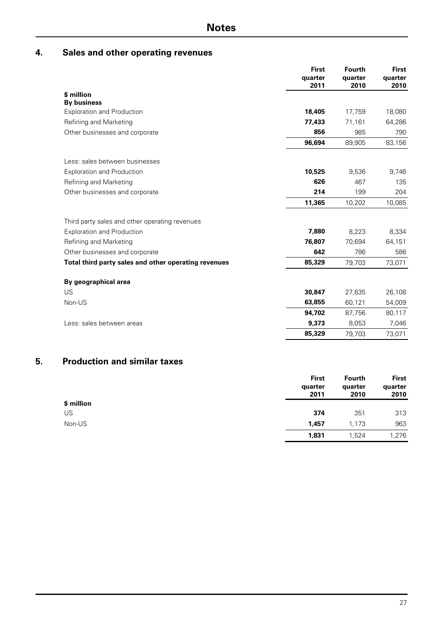## **4. Sales and other operating revenues**

|                                                      | <b>First</b><br>quarter<br>2011 | <b>Fourth</b><br>quarter<br>2010 | <b>First</b><br>quarter<br>2010 |
|------------------------------------------------------|---------------------------------|----------------------------------|---------------------------------|
| \$ million                                           |                                 |                                  |                                 |
| <b>By business</b>                                   |                                 |                                  |                                 |
| <b>Exploration and Production</b>                    | 18,405                          | 17,759                           | 18,080                          |
| Refining and Marketing                               | 77,433                          | 71,161                           | 64,286                          |
| Other businesses and corporate                       | 856                             | 985                              | 790                             |
|                                                      | 96,694                          | 89,905                           | 83,156                          |
| Less: sales between businesses                       |                                 |                                  |                                 |
| <b>Exploration and Production</b>                    | 10,525                          | 9,536                            | 9,746                           |
| Refining and Marketing                               | 626                             | 467                              | 135                             |
| Other businesses and corporate                       | 214                             | 199                              | 204                             |
|                                                      | 11,365                          | 10,202                           | 10,085                          |
| Third party sales and other operating revenues       |                                 |                                  |                                 |
| <b>Exploration and Production</b>                    | 7.880                           | 8,223                            | 8,334                           |
| Refining and Marketing                               | 76,807                          | 70,694                           | 64,151                          |
| Other businesses and corporate                       | 642                             | 786                              | 586                             |
| Total third party sales and other operating revenues | 85,329                          | 79,703                           | 73,071                          |
| By geographical area                                 |                                 |                                  |                                 |
| US                                                   | 30,847                          | 27,635                           | 26,108                          |
| Non-US                                               | 63,855                          | 60,121                           | 54,009                          |
|                                                      | 94,702                          | 87,756                           | 80,117                          |
| Less: sales between areas                            | 9,373                           | 8.053                            | 7,046                           |
|                                                      | 85,329                          | 79,703                           | 73,071                          |

## **5. Production and similar taxes**

|            | <b>First</b><br>quarter<br>2011 | <b>Fourth</b><br>quarter<br>2010 | <b>First</b><br>quarter<br>2010 |
|------------|---------------------------------|----------------------------------|---------------------------------|
| \$ million |                                 |                                  |                                 |
| US         | 374                             | 351                              | 313                             |
| Non-US     | 1.457                           | 1,173                            | 963                             |
|            | 1,831                           | 1,524                            | 1,276                           |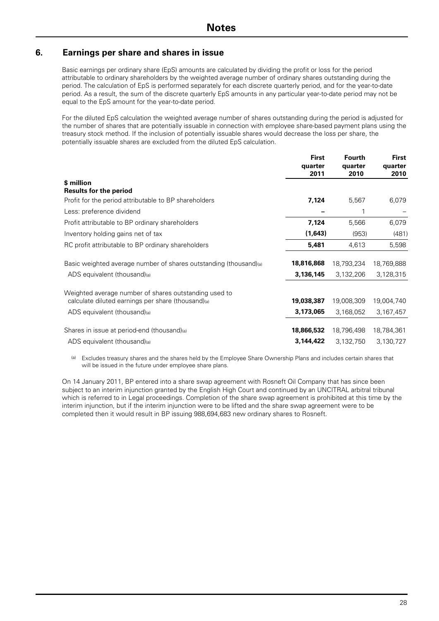### **6. Earnings per share and shares in issue**

Basic earnings per ordinary share (EpS) amounts are calculated by dividing the profit or loss for the period attributable to ordinary shareholders by the weighted average number of ordinary shares outstanding during the period. The calculation of EpS is performed separately for each discrete quarterly period, and for the year-to-date period. As a result, the sum of the discrete quarterly EpS amounts in any particular year-to-date period may not be equal to the EpS amount for the year-to-date period.

For the diluted EpS calculation the weighted average number of shares outstanding during the period is adjusted for the number of shares that are potentially issuable in connection with employee share-based payment plans using the treasury stock method. If the inclusion of potentially issuable shares would decrease the loss per share, the potentially issuable shares are excluded from the diluted EpS calculation.

|                                                                   | <b>First</b><br>quarter<br>2011 | <b>Fourth</b><br>quarter<br>2010 | <b>First</b><br>quarter<br>2010 |
|-------------------------------------------------------------------|---------------------------------|----------------------------------|---------------------------------|
| \$ million                                                        |                                 |                                  |                                 |
| <b>Results for the period</b>                                     |                                 |                                  |                                 |
| Profit for the period attributable to BP shareholders             | 7,124                           | 5,567                            | 6,079                           |
| Less: preference dividend                                         |                                 |                                  |                                 |
| Profit attributable to BP ordinary shareholders                   | 7,124                           | 5,566                            | 6,079                           |
| Inventory holding gains net of tax                                | (1,643)                         | (953)                            | (481)                           |
| RC profit attributable to BP ordinary shareholders                | 5,481                           | 4,613                            | 5,598                           |
| Basic weighted average number of shares outstanding (thousand)(a) | 18,816,868                      | 18,793,234                       | 18,769,888                      |
| ADS equivalent (thousand)(a)                                      | 3,136,145                       | 3,132,206                        | 3,128,315                       |
| Weighted average number of shares outstanding used to             |                                 |                                  |                                 |
| calculate diluted earnings per share (thousand)(a)                | 19,038,387                      | 19,008,309                       | 19,004,740                      |
| ADS equivalent (thousand)(a)                                      | 3,173,065                       | 3,168,052                        | 3,167,457                       |
| Shares in issue at period-end (thousand)(a)                       | 18,866,532                      | 18,796,498                       | 18,784,361                      |
| ADS equivalent (thousand)(a)                                      | 3,144,422                       | 3,132,750                        | 3,130,727                       |

(a) Excludes treasury shares and the shares held by the Employee Share Ownership Plans and includes certain shares that will be issued in the future under employee share plans.

On 14 January 2011, BP entered into a share swap agreement with Rosneft Oil Company that has since been subject to an interim injunction granted by the English High Court and continued by an UNCITRAL arbitral tribunal which is referred to in Legal proceedings. Completion of the share swap agreement is prohibited at this time by the interim injunction, but if the interim injunction were to be lifted and the share swap agreement were to be completed then it would result in BP issuing 988,694,683 new ordinary shares to Rosneft.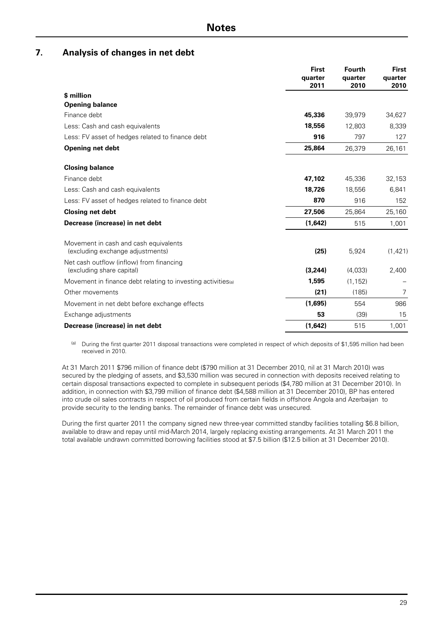### **7. Analysis of changes in net debt**

|                                                                           | <b>First</b><br>quarter<br>2011 | <b>Fourth</b><br>quarter<br>2010 | <b>First</b><br>quarter<br>2010 |
|---------------------------------------------------------------------------|---------------------------------|----------------------------------|---------------------------------|
| \$ million                                                                |                                 |                                  |                                 |
| <b>Opening balance</b>                                                    |                                 |                                  |                                 |
| Finance debt                                                              | 45,336                          | 39,979                           | 34,627                          |
| Less: Cash and cash equivalents                                           | 18,556                          | 12,803                           | 8,339                           |
| Less: FV asset of hedges related to finance debt                          | 916                             | 797                              | 127                             |
| <b>Opening net debt</b>                                                   | 25,864                          | 26,379                           | 26,161                          |
| <b>Closing balance</b>                                                    |                                 |                                  |                                 |
| Finance debt                                                              | 47,102                          | 45,336                           | 32,153                          |
| Less: Cash and cash equivalents                                           | 18,726                          | 18,556                           | 6,841                           |
| Less: FV asset of hedges related to finance debt                          | 870                             | 916                              | 152                             |
| <b>Closing net debt</b>                                                   | 27,506                          | 25,864                           | 25,160                          |
| Decrease (increase) in net debt                                           | (1,642)                         | 515                              | 1,001                           |
| Movement in cash and cash equivalents<br>(excluding exchange adjustments) | (25)                            | 5,924                            | (1, 421)                        |
| Net cash outflow (inflow) from financing<br>(excluding share capital)     | (3,244)                         | (4,033)                          | 2,400                           |
| Movement in finance debt relating to investing activities (a)             | 1,595                           | (1, 152)                         |                                 |
| Other movements                                                           | (21)                            | (185)                            | 7                               |
| Movement in net debt before exchange effects                              | (1,695)                         | 554                              | 986                             |
| Exchange adjustments                                                      | 53                              | (39)                             | 15                              |
| Decrease (increase) in net debt                                           | (1,642)                         | 515                              | 1,001                           |

(a) During the first quarter 2011 disposal transactions were completed in respect of which deposits of \$1,595 million had been received in 2010.

At 31 March 2011 \$796 million of finance debt (\$790 million at 31 December 2010, nil at 31 March 2010) was secured by the pledging of assets, and \$3,530 million was secured in connection with deposits received relating to certain disposal transactions expected to complete in subsequent periods (\$4,780 million at 31 December 2010). In addition, in connection with \$3,799 million of finance debt (\$4,588 million at 31 December 2010), BP has entered into crude oil sales contracts in respect of oil produced from certain fields in offshore Angola and Azerbaijan to provide security to the lending banks. The remainder of finance debt was unsecured.

During the first quarter 2011 the company signed new three-year committed standby facilities totalling \$6.8 billion, available to draw and repay until mid-March 2014, largely replacing existing arrangements. At 31 March 2011 the total available undrawn committed borrowing facilities stood at \$7.5 billion (\$12.5 billion at 31 December 2010).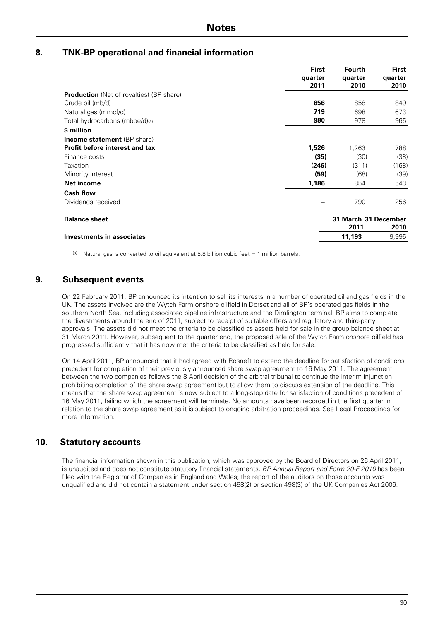### **8. TNK-BP operational and financial information**

|                                                 | <b>First</b> | <b>Fourth</b>        | <b>First</b> |
|-------------------------------------------------|--------------|----------------------|--------------|
|                                                 | quarter      | quarter              | quarter      |
|                                                 | 2011         | 2010                 | 2010         |
| <b>Production</b> (Net of royalties) (BP share) |              |                      |              |
| Crude oil (mb/d)                                | 856          | 858                  | 849          |
| Natural gas (mmcf/d)                            | 719          | 698                  | 673          |
| Total hydrocarbons (mboe/d)(a)                  | 980          | 978                  | 965          |
| \$ million                                      |              |                      |              |
| <b>Income statement</b> (BP share)              |              |                      |              |
| <b>Profit before interest and tax</b>           | 1,526        | 1,263                | 788          |
| Finance costs                                   | (35)         | (30)                 | (38)         |
| Taxation                                        | (246)        | (311)                | (168)        |
| Minority interest                               | (59)         | (68)                 | (39)         |
| Net income                                      | 1,186        | 854                  | 543          |
| <b>Cash flow</b>                                |              |                      |              |
| Dividends received                              |              | 790                  | 256          |
| <b>Balance sheet</b>                            |              | 31 March 31 December |              |
|                                                 |              | 2011                 | 2010         |
| <b>Investments in associates</b>                |              | 11,193               | 9,995        |
|                                                 |              |                      |              |

(a) Natural gas is converted to oil equivalent at 5.8 billion cubic feet = 1 million barrels.

### **9. Subsequent events**

On 22 February 2011, BP announced its intention to sell its interests in a number of operated oil and gas fields in the UK. The assets involved are the Wytch Farm onshore oilfield in Dorset and all of BP's operated gas fields in the southern North Sea, including associated pipeline infrastructure and the Dimlington terminal. BP aims to complete the divestments around the end of 2011, subject to receipt of suitable offers and regulatory and third-party approvals. The assets did not meet the criteria to be classified as assets held for sale in the group balance sheet at 31 March 2011. However, subsequent to the quarter end, the proposed sale of the Wytch Farm onshore oilfield has progressed sufficiently that it has now met the criteria to be classified as held for sale.

On 14 April 2011, BP announced that it had agreed with Rosneft to extend the deadline for satisfaction of conditions precedent for completion of their previously announced share swap agreement to 16 May 2011. The agreement between the two companies follows the 8 April decision of the arbitral tribunal to continue the interim injunction prohibiting completion of the share swap agreement but to allow them to discuss extension of the deadline. This means that the share swap agreement is now subject to a long-stop date for satisfaction of conditions precedent of 16 May 2011, failing which the agreement will terminate. No amounts have been recorded in the first quarter in relation to the share swap agreement as it is subject to ongoing arbitration proceedings. See Legal Proceedings for more information.

### **10. Statutory accounts**

The financial information shown in this publication, which was approved by the Board of Directors on 26 April 2011, is unaudited and does not constitute statutory financial statements. *BP Annual Report and Form 20-F 2010* has been filed with the Registrar of Companies in England and Wales; the report of the auditors on those accounts was unqualified and did not contain a statement under section 498(2) or section 498(3) of the UK Companies Act 2006.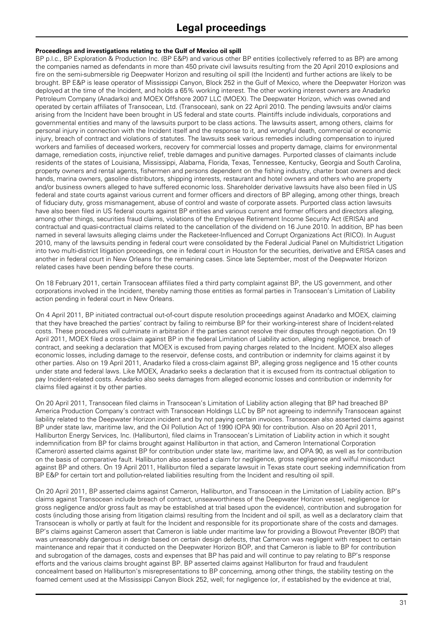#### **Proceedings and investigations relating to the Gulf of Mexico oil spill**

BP p.l.c., BP Exploration & Production Inc. (BP E&P) and various other BP entities (collectively referred to as BP) are among the companies named as defendants in more than 450 private civil lawsuits resulting from the 20 April 2010 explosions and fire on the semi-submersible rig Deepwater Horizon and resulting oil spill (the Incident) and further actions are likely to be brought. BP E&P is lease operator of Mississippi Canyon, Block 252 in the Gulf of Mexico, where the Deepwater Horizon was deployed at the time of the Incident, and holds a 65% working interest. The other working interest owners are Anadarko Petroleum Company (Anadarko) and MOEX Offshore 2007 LLC (MOEX). The Deepwater Horizon, which was owned and operated by certain affiliates of Transocean, Ltd. (Transocean), sank on 22 April 2010. The pending lawsuits and/or claims arising from the Incident have been brought in US federal and state courts. Plaintiffs include individuals, corporations and governmental entities and many of the lawsuits purport to be class actions. The lawsuits assert, among others, claims for personal injury in connection with the Incident itself and the response to it, and wrongful death, commercial or economic injury, breach of contract and violations of statutes. The lawsuits seek various remedies including compensation to injured workers and families of deceased workers, recovery for commercial losses and property damage, claims for environmental damage, remediation costs, injunctive relief, treble damages and punitive damages. Purported classes of claimants include residents of the states of Louisiana, Mississippi, Alabama, Florida, Texas, Tennessee, Kentucky, Georgia and South Carolina, property owners and rental agents, fishermen and persons dependent on the fishing industry, charter boat owners and deck hands, marina owners, gasoline distributors, shipping interests, restaurant and hotel owners and others who are property and/or business owners alleged to have suffered economic loss. Shareholder derivative lawsuits have also been filed in US federal and state courts against various current and former officers and directors of BP alleging, among other things, breach of fiduciary duty, gross mismanagement, abuse of control and waste of corporate assets. Purported class action lawsuits have also been filed in US federal courts against BP entities and various current and former officers and directors alleging, among other things, securities fraud claims, violations of the Employee Retirement Income Security Act (ERISA) and contractual and quasi-contractual claims related to the cancellation of the dividend on 16 June 2010. In addition, BP has been named in several lawsuits alleging claims under the Racketeer-Influenced and Corrupt Organizations Act (RICO). In August 2010, many of the lawsuits pending in federal court were consolidated by the Federal Judicial Panel on Multidistrict Litigation into two multi-district litigation proceedings, one in federal court in Houston for the securities, derivative and ERISA cases and another in federal court in New Orleans for the remaining cases. Since late September, most of the Deepwater Horizon related cases have been pending before these courts.

On 18 February 2011, certain Transocean affiliates filed a third party complaint against BP, the US government, and other corporations involved in the Incident, thereby naming those entities as formal parties in Transocean's Limitation of Liability action pending in federal court in New Orleans.

On 4 April 2011, BP initiated contractual out-of-court dispute resolution proceedings against Anadarko and MOEX, claiming that they have breached the parties' contract by failing to reimburse BP for their working-interest share of Incident-related costs. These procedures will culminate in arbitration if the parties cannot resolve their disputes through negotiation. On 19 April 2011, MOEX filed a cross-claim against BP in the federal Limitation of Liability action, alleging negligence, breach of contract, and seeking a declaration that MOEX is excused from paying charges related to the Incident. MOEX also alleges economic losses, including damage to the reservoir, defense costs, and contribution or indemnity for claims against it by other parties. Also on 19 April 2011, Anadarko filed a cross-claim against BP, alleging gross negligence and 15 other counts under state and federal laws. Like MOEX, Anadarko seeks a declaration that it is excused from its contractual obligation to pay Incident-related costs. Anadarko also seeks damages from alleged economic losses and contribution or indemnity for claims filed against it by other parties.

On 20 April 2011, Transocean filed claims in Transocean's Limitation of Liability action alleging that BP had breached BP America Production Company's contract with Transocean Holdings LLC by BP not agreeing to indemnify Transocean against liability related to the Deepwater Horizon incident and by not paying certain invoices. Transocean also asserted claims against BP under state law, maritime law, and the Oil Pollution Act of 1990 (OPA 90) for contribution. Also on 20 April 2011, Halliburton Energy Services, Inc. (Halliburton), filed claims in Transocean's Limitation of Liability action in which it sought indemnification from BP for claims brought against Halliburton in that action, and Cameron International Corporation (Cameron) asserted claims against BP for contribution under state law, maritime law, and OPA 90, as well as for contribution on the basis of comparative fault. Halliburton also asserted a claim for negligence, gross negligence and wilful misconduct against BP and others. On 19 April 2011, Halliburton filed a separate lawsuit in Texas state court seeking indemnification from BP E&P for certain tort and pollution-related liabilities resulting from the Incident and resulting oil spill.

On 20 April 2011, BP asserted claims against Cameron, Halliburton, and Transocean in the Limitation of Liability action. BP's claims against Transocean include breach of contract, unseaworthiness of the Deepwater Horizon vessel, negligence (or gross negligence and/or gross fault as may be established at trial based upon the evidence), contribution and subrogation for costs (including those arising from litigation claims) resulting from the Incident and oil spill, as well as a declaratory claim that Transocean is wholly or partly at fault for the Incident and responsible for its proportionate share of the costs and damages. BP's claims against Cameron assert that Cameron is liable under maritime law for providing a Blowout Preventer (BOP) that was unreasonably dangerous in design based on certain design defects, that Cameron was negligent with respect to certain maintenance and repair that it conducted on the Deepwater Horizon BOP, and that Cameron is liable to BP for contribution and subrogation of the damages, costs and expenses that BP has paid and will continue to pay relating to BP's response efforts and the various claims brought against BP. BP asserted claims against Halliburton for fraud and fraudulent concealment based on Halliburton's misrepresentations to BP concerning, among other things, the stability testing on the foamed cement used at the Mississippi Canyon Block 252, well; for negligence (or, if established by the evidence at trial,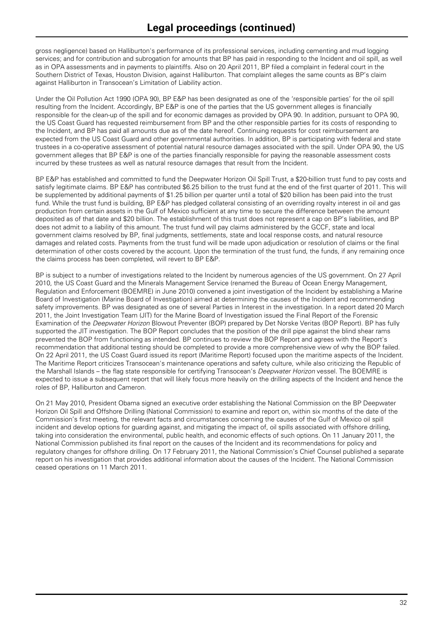gross negligence) based on Halliburton's performance of its professional services, including cementing and mud logging services; and for contribution and subrogation for amounts that BP has paid in responding to the Incident and oil spill, as well as in OPA assessments and in payments to plaintiffs. Also on 20 April 2011, BP filed a complaint in federal court in the Southern District of Texas, Houston Division, against Halliburton. That complaint alleges the same counts as BP's claim against Halliburton in Transocean's Limitation of Liability action.

Under the Oil Pollution Act 1990 (OPA 90), BP E&P has been designated as one of the 'responsible parties' for the oil spill resulting from the Incident. Accordingly, BP E&P is one of the parties that the US government alleges is financially responsible for the clean-up of the spill and for economic damages as provided by OPA 90. In addition, pursuant to OPA 90, the US Coast Guard has requested reimbursement from BP and the other responsible parties for its costs of responding to the Incident, and BP has paid all amounts due as of the date hereof. Continuing requests for cost reimbursement are expected from the US Coast Guard and other governmental authorities. In addition, BP is participating with federal and state trustees in a co-operative assessment of potential natural resource damages associated with the spill. Under OPA 90, the US government alleges that BP E&P is one of the parties financially responsible for paying the reasonable assessment costs incurred by these trustees as well as natural resource damages that result from the Incident.

BP E&P has established and committed to fund the Deepwater Horizon Oil Spill Trust, a \$20-billion trust fund to pay costs and satisfy legitimate claims. BP E&P has contributed \$6.25 billion to the trust fund at the end of the first quarter of 2011. This will be supplemented by additional payments of \$1.25 billion per quarter until a total of \$20 billion has been paid into the trust fund. While the trust fund is building, BP E&P has pledged collateral consisting of an overriding royalty interest in oil and gas production from certain assets in the Gulf of Mexico sufficient at any time to secure the difference between the amount deposited as of that date and \$20 billion. The establishment of this trust does not represent a cap on BP's liabilities, and BP does not admit to a liability of this amount. The trust fund will pay claims administered by the GCCF, state and local government claims resolved by BP, final judgments, settlements, state and local response costs, and natural resource damages and related costs. Payments from the trust fund will be made upon adjudication or resolution of claims or the final determination of other costs covered by the account. Upon the termination of the trust fund, the funds, if any remaining once the claims process has been completed, will revert to BP E&P.

BP is subject to a number of investigations related to the Incident by numerous agencies of the US government. On 27 April 2010, the US Coast Guard and the Minerals Management Service (renamed the Bureau of Ocean Energy Management, Regulation and Enforcement (BOEMRE) in June 2010) convened a joint investigation of the Incident by establishing a Marine Board of Investigation (Marine Board of Investigation) aimed at determining the causes of the Incident and recommending safety improvements. BP was designated as one of several Parties in Interest in the investigation. In a report dated 20 March 2011, the Joint Investigation Team (JIT) for the Marine Board of Investigation issued the Final Report of the Forensic Examination of the *Deepwater Horizon* Blowout Preventer (BOP) prepared by Det Norske Veritas (BOP Report). BP has fully supported the JIT investigation. The BOP Report concludes that the position of the drill pipe against the blind shear rams prevented the BOP from functioning as intended. BP continues to review the BOP Report and agrees with the Report's recommendation that additional testing should be completed to provide a more comprehensive view of why the BOP failed. On 22 April 2011, the US Coast Guard issued its report (Maritime Report) focused upon the maritime aspects of the Incident. The Maritime Report criticizes Transocean's maintenance operations and safety culture, while also criticizing the Republic of the Marshall Islands – the flag state responsible for certifying Transocean's *Deepwater Horizon* vessel. The BOEMRE is expected to issue a subsequent report that will likely focus more heavily on the drilling aspects of the Incident and hence the roles of BP, Halliburton and Cameron.

On 21 May 2010, President Obama signed an executive order establishing the National Commission on the BP Deepwater Horizon Oil Spill and Offshore Drilling (National Commission) to examine and report on, within six months of the date of the Commission's first meeting, the relevant facts and circumstances concerning the causes of the Gulf of Mexico oil spill incident and develop options for guarding against, and mitigating the impact of, oil spills associated with offshore drilling, taking into consideration the environmental, public health, and economic effects of such options. On 11 January 2011, the National Commission published its final report on the causes of the Incident and its recommendations for policy and regulatory changes for offshore drilling. On 17 February 2011, the National Commission's Chief Counsel published a separate report on his investigation that provides additional information about the causes of the Incident. The National Commission ceased operations on 11 March 2011.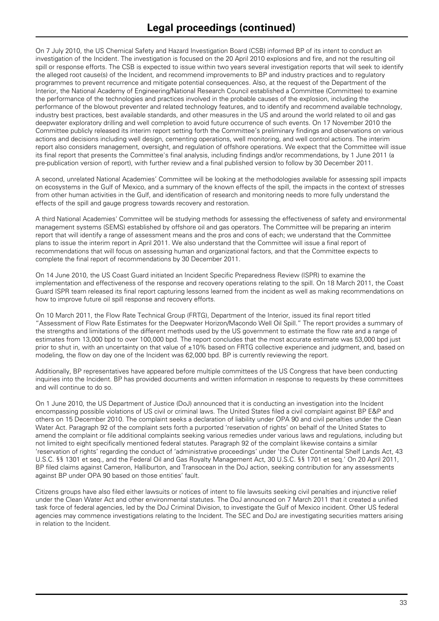On 7 July 2010, the US Chemical Safety and Hazard Investigation Board (CSB) informed BP of its intent to conduct an investigation of the Incident. The investigation is focused on the 20 April 2010 explosions and fire, and not the resulting oil spill or response efforts. The CSB is expected to issue within two years several investigation reports that will seek to identify the alleged root cause(s) of the Incident, and recommend improvements to BP and industry practices and to regulatory programmes to prevent recurrence and mitigate potential consequences. Also, at the request of the Department of the Interior, the National Academy of Engineering/National Research Council established a Committee (Committee) to examine the performance of the technologies and practices involved in the probable causes of the explosion, including the performance of the blowout preventer and related technology features, and to identify and recommend available technology, industry best practices, best available standards, and other measures in the US and around the world related to oil and gas deepwater exploratory drilling and well completion to avoid future occurrence of such events. On 17 November 2010 the Committee publicly released its interim report setting forth the Committee's preliminary findings and observations on various actions and decisions including well design, cementing operations, well monitoring, and well control actions. The interim report also considers management, oversight, and regulation of offshore operations. We expect that the Committee will issue its final report that presents the Committee's final analysis, including findings and/or recommendations, by 1 June 2011 (a pre-publication version of report), with further review and a final published version to follow by 30 December 2011.

A second, unrelated National Academies' Committee will be looking at the methodologies available for assessing spill impacts on ecosystems in the Gulf of Mexico, and a summary of the known effects of the spill, the impacts in the context of stresses from other human activities in the Gulf, and identification of research and monitoring needs to more fully understand the effects of the spill and gauge progress towards recovery and restoration.

A third National Academies' Committee will be studying methods for assessing the effectiveness of safety and environmental management systems (SEMS) established by offshore oil and gas operators. The Committee will be preparing an interim report that will identify a range of assessment means and the pros and cons of each; we understand that the Committee plans to issue the interim report in April 2011. We also understand that the Committee will issue a final report of recommendations that will focus on assessing human and organizational factors, and that the Committee expects to complete the final report of recommendations by 30 December 2011.

On 14 June 2010, the US Coast Guard initiated an Incident Specific Preparedness Review (ISPR) to examine the implementation and effectiveness of the response and recovery operations relating to the spill. On 18 March 2011, the Coast Guard ISPR team released its final report capturing lessons learned from the incident as well as making recommendations on how to improve future oil spill response and recovery efforts.

On 10 March 2011, the Flow Rate Technical Group (FRTG), Department of the Interior, issued its final report titled "Assessment of Flow Rate Estimates for the Deepwater Horizon/Macondo Well Oil Spill." The report provides a summary of the strengths and limitations of the different methods used by the US government to estimate the flow rate and a range of estimates from 13,000 bpd to over 100,000 bpd. The report concludes that the most accurate estimate was 53,000 bpd just prior to shut in, with an uncertainty on that value of ±10% based on FRTG collective experience and judgment, and, based on modeling, the flow on day one of the Incident was 62,000 bpd. BP is currently reviewing the report.

Additionally, BP representatives have appeared before multiple committees of the US Congress that have been conducting inquiries into the Incident. BP has provided documents and written information in response to requests by these committees and will continue to do so.

On 1 June 2010, the US Department of Justice (DoJ) announced that it is conducting an investigation into the Incident encompassing possible violations of US civil or criminal laws. The United States filed a civil complaint against BP E&P and others on 15 December 2010. The complaint seeks a declaration of liability under OPA 90 and civil penalties under the Clean Water Act. Paragraph 92 of the complaint sets forth a purported 'reservation of rights' on behalf of the United States to amend the complaint or file additional complaints seeking various remedies under various laws and regulations, including but not limited to eight specifically mentioned federal statutes. Paragraph 92 of the complaint likewise contains a similar 'reservation of rights' regarding the conduct of 'administrative proceedings' under 'the Outer Continental Shelf Lands Act, 43 U.S.C. §§ 1301 et seq., and the Federal Oil and Gas Royalty Management Act, 30 U.S.C. §§ 1701 et seq.' On 20 April 2011, BP filed claims against Cameron, Halliburton, and Transocean in the DoJ action, seeking contribution for any assessments against BP under OPA 90 based on those entities' fault.

Citizens groups have also filed either lawsuits or notices of intent to file lawsuits seeking civil penalties and injunctive relief under the Clean Water Act and other environmental statutes. The DoJ announced on 7 March 2011 that it created a unified task force of federal agencies, led by the DoJ Criminal Division, to investigate the Gulf of Mexico incident. Other US federal agencies may commence investigations relating to the Incident. The SEC and DoJ are investigating securities matters arising in relation to the Incident.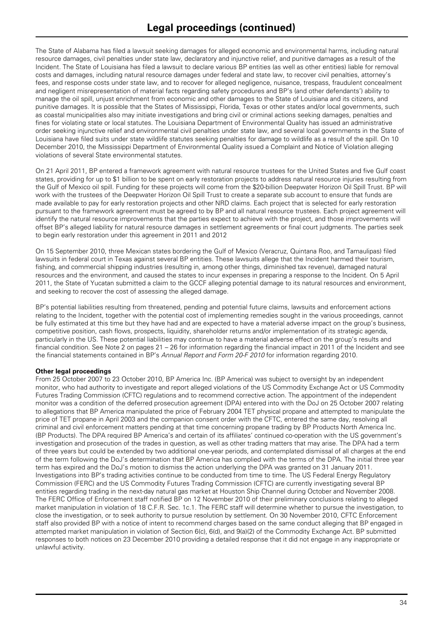The State of Alabama has filed a lawsuit seeking damages for alleged economic and environmental harms, including natural resource damages, civil penalties under state law, declaratory and injunctive relief, and punitive damages as a result of the Incident. The State of Louisiana has filed a lawsuit to declare various BP entities (as well as other entities) liable for removal costs and damages, including natural resource damages under federal and state law, to recover civil penalties, attorney's fees, and response costs under state law, and to recover for alleged negligence, nuisance, trespass, fraudulent concealment and negligent misrepresentation of material facts regarding safety procedures and BP's (and other defendants') ability to manage the oil spill, unjust enrichment from economic and other damages to the State of Louisiana and its citizens, and punitive damages. It is possible that the States of Mississippi, Florida, Texas or other states and/or local governments, such as coastal municipalities also may initiate investigations and bring civil or criminal actions seeking damages, penalties and fines for violating state or local statutes. The Louisiana Department of Environmental Quality has issued an administrative order seeking injunctive relief and environmental civil penalties under state law, and several local governments in the State of Louisiana have filed suits under state wildlife statutes seeking penalties for damage to wildlife as a result of the spill. On 10 December 2010, the Mississippi Department of Environmental Quality issued a Complaint and Notice of Violation alleging violations of several State environmental statutes.

On 21 April 2011, BP entered a framework agreement with natural resource trustees for the United States and five Gulf coast states, providing for up to \$1 billion to be spent on early restoration projects to address natural resource injuries resulting from the Gulf of Mexico oil spill. Funding for these projects will come from the \$20-billion Deepwater Horizon Oil Spill Trust. BP will work with the trustees of the Deepwater Horizon Oil Spill Trust to create a separate sub account to ensure that funds are made available to pay for early restoration projects and other NRD claims. Each project that is selected for early restoration pursuant to the framework agreement must be agreed to by BP and all natural resource trustees. Each project agreement will identify the natural resource improvements that the parties expect to achieve with the project, and those improvements will offset BP's alleged liability for natural resource damages in settlement agreements or final court judgments. The parties seek to begin early restoration under this agreement in 2011 and 2012

On 15 September 2010, three Mexican states bordering the Gulf of Mexico (Veracruz, Quintana Roo, and Tamaulipas) filed lawsuits in federal court in Texas against several BP entities. These lawsuits allege that the Incident harmed their tourism, fishing, and commercial shipping industries (resulting in, among other things, diminished tax revenue), damaged natural resources and the environment, and caused the states to incur expenses in preparing a response to the Incident. On 5 April 2011, the State of Yucatan submitted a claim to the GCCF alleging potential damage to its natural resources and environment, and seeking to recover the cost of assessing the alleged damage.

BP's potential liabilities resulting from threatened, pending and potential future claims, lawsuits and enforcement actions relating to the Incident, together with the potential cost of implementing remedies sought in the various proceedings, cannot be fully estimated at this time but they have had and are expected to have a material adverse impact on the group's business, competitive position, cash flows, prospects, liquidity, shareholder returns and/or implementation of its strategic agenda, particularly in the US. These potential liabilities may continue to have a material adverse effect on the group's results and financial condition. See Note 2 on pages 21 – 26 for information regarding the financial impact in 2011 of the Incident and see the financial statements contained in BP's *Annual Report and Form 20-F 2010* for information regarding 2010*.*

#### **Other legal proceedings**

From 25 October 2007 to 23 October 2010, BP America Inc. (BP America) was subject to oversight by an independent monitor, who had authority to investigate and report alleged violations of the US Commodity Exchange Act or US Commodity Futures Trading Commission (CFTC) regulations and to recommend corrective action. The appointment of the independent monitor was a condition of the deferred prosecution agreement (DPA) entered into with the DoJ on 25 October 2007 relating to allegations that BP America manipulated the price of February 2004 TET physical propane and attempted to manipulate the price of TET propane in April 2003 and the companion consent order with the CFTC, entered the same day, resolving all criminal and civil enforcement matters pending at that time concerning propane trading by BP Products North America Inc. (BP Products). The DPA required BP America's and certain of its affiliates' continued co-operation with the US government's investigation and prosecution of the trades in question, as well as other trading matters that may arise. The DPA had a term of three years but could be extended by two additional one-year periods, and contemplated dismissal of all charges at the end of the term following the DoJ's determination that BP America has complied with the terms of the DPA. The initial three year term has expired and the DoJ's motion to dismiss the action underlying the DPA was granted on 31 January 2011. Investigations into BP's trading activities continue to be conducted from time to time. The US Federal Energy Regulatory Commission (FERC) and the US Commodity Futures Trading Commission (CFTC) are currently investigating several BP entities regarding trading in the next-day natural gas market at Houston Ship Channel during October and November 2008. The FERC Office of Enforcement staff notified BP on 12 November 2010 of their preliminary conclusions relating to alleged market manipulation in violation of 18 C.F.R. Sec. 1c.1. The FERC staff will determine whether to pursue the investigation, to close the investigation, or to seek authority to pursue resolution by settlement. On 30 November 2010, CFTC Enforcement staff also provided BP with a notice of intent to recommend charges based on the same conduct alleging that BP engaged in attempted market manipulation in violation of Section 6(c), 6(d), and 9(a)(2) of the Commodity Exchange Act. BP submitted responses to both notices on 23 December 2010 providing a detailed response that it did not engage in any inappropriate or unlawful activity.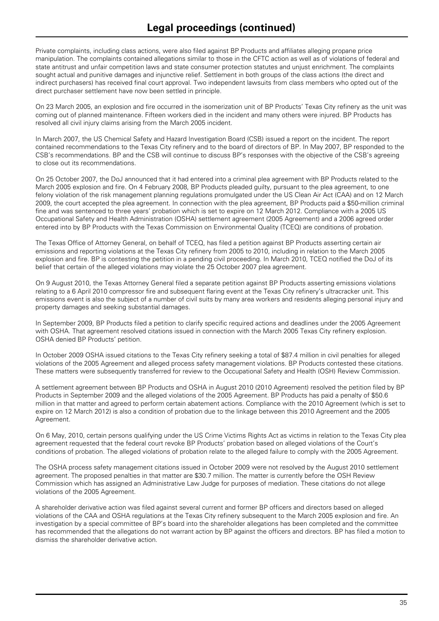Private complaints, including class actions, were also filed against BP Products and affiliates alleging propane price manipulation. The complaints contained allegations similar to those in the CFTC action as well as of violations of federal and state antitrust and unfair competition laws and state consumer protection statutes and unjust enrichment. The complaints sought actual and punitive damages and injunctive relief. Settlement in both groups of the class actions (the direct and indirect purchasers) has received final court approval. Two independent lawsuits from class members who opted out of the direct purchaser settlement have now been settled in principle.

On 23 March 2005, an explosion and fire occurred in the isomerization unit of BP Products' Texas City refinery as the unit was coming out of planned maintenance. Fifteen workers died in the incident and many others were injured. BP Products has resolved all civil injury claims arising from the March 2005 incident.

In March 2007, the US Chemical Safety and Hazard Investigation Board (CSB) issued a report on the incident. The report contained recommendations to the Texas City refinery and to the board of directors of BP. In May 2007, BP responded to the CSB's recommendations. BP and the CSB will continue to discuss BP's responses with the objective of the CSB's agreeing to close out its recommendations.

On 25 October 2007, the DoJ announced that it had entered into a criminal plea agreement with BP Products related to the March 2005 explosion and fire. On 4 February 2008, BP Products pleaded guilty, pursuant to the plea agreement, to one felony violation of the risk management planning regulations promulgated under the US Clean Air Act (CAA) and on 12 March 2009, the court accepted the plea agreement. In connection with the plea agreement, BP Products paid a \$50-million criminal fine and was sentenced to three years' probation which is set to expire on 12 March 2012. Compliance with a 2005 US Occupational Safety and Health Administration (OSHA) settlement agreement (2005 Agreement) and a 2006 agreed order entered into by BP Products with the Texas Commission on Environmental Quality (TCEQ) are conditions of probation.

The Texas Office of Attorney General, on behalf of TCEQ, has filed a petition against BP Products asserting certain air emissions and reporting violations at the Texas City refinery from 2005 to 2010, including in relation to the March 2005 explosion and fire. BP is contesting the petition in a pending civil proceeding. In March 2010, TCEQ notified the DoJ of its belief that certain of the alleged violations may violate the 25 October 2007 plea agreement.

On 9 August 2010, the Texas Attorney General filed a separate petition against BP Products asserting emissions violations relating to a 6 April 2010 compressor fire and subsequent flaring event at the Texas City refinery's ultracracker unit. This emissions event is also the subject of a number of civil suits by many area workers and residents alleging personal injury and property damages and seeking substantial damages.

In September 2009, BP Products filed a petition to clarify specific required actions and deadlines under the 2005 Agreement with OSHA. That agreement resolved citations issued in connection with the March 2005 Texas City refinery explosion. OSHA denied BP Products' petition.

In October 2009 OSHA issued citations to the Texas City refinery seeking a total of \$87.4 million in civil penalties for alleged violations of the 2005 Agreement and alleged process safety management violations. BP Products contested these citations. These matters were subsequently transferred for review to the Occupational Safety and Health (OSH) Review Commission.

A settlement agreement between BP Products and OSHA in August 2010 (2010 Agreement) resolved the petition filed by BP Products in September 2009 and the alleged violations of the 2005 Agreement. BP Products has paid a penalty of \$50.6 million in that matter and agreed to perform certain abatement actions. Compliance with the 2010 Agreement (which is set to expire on 12 March 2012) is also a condition of probation due to the linkage between this 2010 Agreement and the 2005 Agreement.

On 6 May, 2010, certain persons qualifying under the US Crime Victims Rights Act as victims in relation to the Texas City plea agreement requested that the federal court revoke BP Products' probation based on alleged violations of the Court's conditions of probation. The alleged violations of probation relate to the alleged failure to comply with the 2005 Agreement.

The OSHA process safety management citations issued in October 2009 were not resolved by the August 2010 settlement agreement. The proposed penalties in that matter are \$30.7 million. The matter is currently before the OSH Review Commission which has assigned an Administrative Law Judge for purposes of mediation. These citations do not allege violations of the 2005 Agreement.

A shareholder derivative action was filed against several current and former BP officers and directors based on alleged violations of the CAA and OSHA regulations at the Texas City refinery subsequent to the March 2005 explosion and fire. An investigation by a special committee of BP's board into the shareholder allegations has been completed and the committee has recommended that the allegations do not warrant action by BP against the officers and directors. BP has filed a motion to dismiss the shareholder derivative action.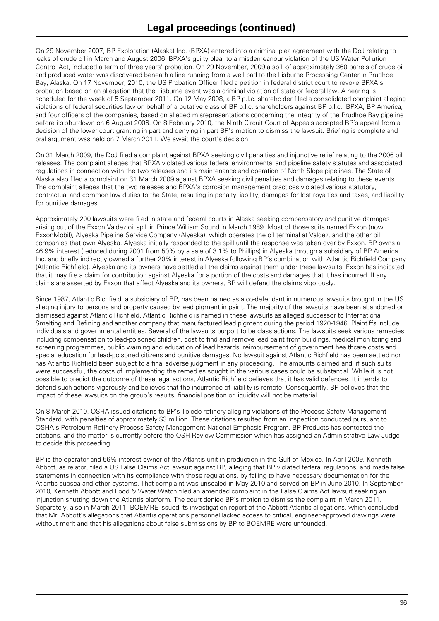On 29 November 2007, BP Exploration (Alaska) Inc. (BPXA) entered into a criminal plea agreement with the DoJ relating to leaks of crude oil in March and August 2006. BPXA's guilty plea, to a misdemeanour violation of the US Water Pollution Control Act, included a term of three years' probation. On 29 November, 2009 a spill of approximately 360 barrels of crude oil and produced water was discovered beneath a line running from a well pad to the Lisburne Processing Center in Prudhoe Bay, Alaska. On 17 November, 2010, the US Probation Officer filed a petition in federal district court to revoke BPXA's probation based on an allegation that the Lisburne event was a criminal violation of state or federal law. A hearing is scheduled for the week of 5 September 2011. On 12 May 2008, a BP p.l.c. shareholder filed a consolidated complaint alleging violations of federal securities law on behalf of a putative class of BP p.l.c. shareholders against BP p.l.c., BPXA, BP America, and four officers of the companies, based on alleged misrepresentations concerning the integrity of the Prudhoe Bay pipeline before its shutdown on 6 August 2006. On 8 February 2010, the Ninth Circuit Court of Appeals accepted BP's appeal from a decision of the lower court granting in part and denying in part BP's motion to dismiss the lawsuit. Briefing is complete and oral argument was held on 7 March 2011. We await the court's decision.

On 31 March 2009, the DoJ filed a complaint against BPXA seeking civil penalties and injunctive relief relating to the 2006 oil releases. The complaint alleges that BPXA violated various federal environmental and pipeline safety statutes and associated regulations in connection with the two releases and its maintenance and operation of North Slope pipelines. The State of Alaska also filed a complaint on 31 March 2009 against BPXA seeking civil penalties and damages relating to these events. The complaint alleges that the two releases and BPXA's corrosion management practices violated various statutory, contractual and common law duties to the State, resulting in penalty liability, damages for lost royalties and taxes, and liability for punitive damages.

Approximately 200 lawsuits were filed in state and federal courts in Alaska seeking compensatory and punitive damages arising out of the Exxon Valdez oil spill in Prince William Sound in March 1989. Most of those suits named Exxon (now ExxonMobil), Alyeska Pipeline Service Company (Alyeska), which operates the oil terminal at Valdez, and the other oil companies that own Alyeska. Alyeska initially responded to the spill until the response was taken over by Exxon. BP owns a 46.9% interest (reduced during 2001 from 50% by a sale of 3.1% to Phillips) in Alyeska through a subsidiary of BP America Inc. and briefly indirectly owned a further 20% interest in Alyeska following BP's combination with Atlantic Richfield Company (Atlantic Richfield). Alyeska and its owners have settled all the claims against them under these lawsuits. Exxon has indicated that it may file a claim for contribution against Alyeska for a portion of the costs and damages that it has incurred. If any claims are asserted by Exxon that affect Alyeska and its owners, BP will defend the claims vigorously.

Since 1987, Atlantic Richfield, a subsidiary of BP, has been named as a co-defendant in numerous lawsuits brought in the US alleging injury to persons and property caused by lead pigment in paint. The majority of the lawsuits have been abandoned or dismissed against Atlantic Richfield. Atlantic Richfield is named in these lawsuits as alleged successor to International Smelting and Refining and another company that manufactured lead pigment during the period 1920-1946. Plaintiffs include individuals and governmental entities. Several of the lawsuits purport to be class actions. The lawsuits seek various remedies including compensation to lead-poisoned children, cost to find and remove lead paint from buildings, medical monitoring and screening programmes, public warning and education of lead hazards, reimbursement of government healthcare costs and special education for lead-poisoned citizens and punitive damages. No lawsuit against Atlantic Richfield has been settled nor has Atlantic Richfield been subject to a final adverse judgment in any proceeding. The amounts claimed and, if such suits were successful, the costs of implementing the remedies sought in the various cases could be substantial. While it is not possible to predict the outcome of these legal actions, Atlantic Richfield believes that it has valid defences. It intends to defend such actions vigorously and believes that the incurrence of liability is remote. Consequently, BP believes that the impact of these lawsuits on the group's results, financial position or liquidity will not be material.

On 8 March 2010, OSHA issued citations to BP's Toledo refinery alleging violations of the Process Safety Management Standard, with penalties of approximately \$3 million. These citations resulted from an inspection conducted pursuant to OSHA's Petroleum Refinery Process Safety Management National Emphasis Program. BP Products has contested the citations, and the matter is currently before the OSH Review Commission which has assigned an Administrative Law Judge to decide this proceeding.

BP is the operator and 56% interest owner of the Atlantis unit in production in the Gulf of Mexico. In April 2009, Kenneth Abbott, as relator, filed a US False Claims Act lawsuit against BP, alleging that BP violated federal regulations, and made false statements in connection with its compliance with those regulations, by failing to have necessary documentation for the Atlantis subsea and other systems. That complaint was unsealed in May 2010 and served on BP in June 2010. In September 2010, Kenneth Abbott and Food & Water Watch filed an amended complaint in the False Claims Act lawsuit seeking an injunction shutting down the Atlantis platform. The court denied BP's motion to dismiss the complaint in March 2011. Separately, also in March 2011, BOEMRE issued its investigation report of the Abbott Atlantis allegations, which concluded that Mr. Abbott's allegations that Atlantis operations personnel lacked access to critical, engineer-approved drawings were without merit and that his allegations about false submissions by BP to BOEMRE were unfounded.